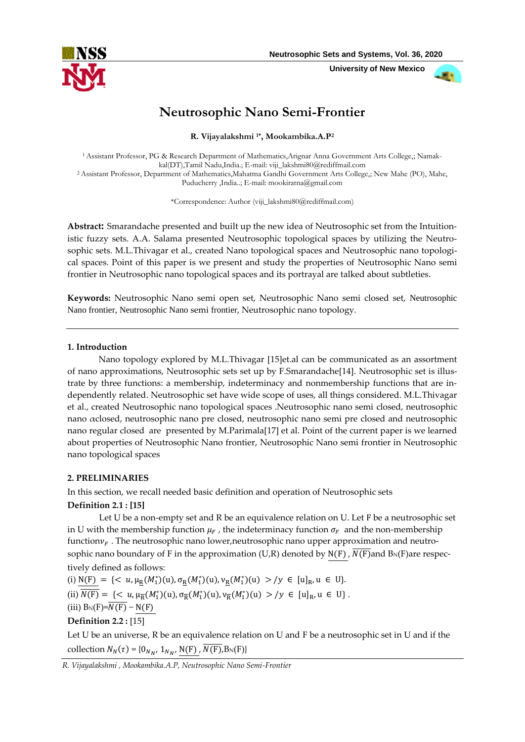

 **University of New Mexico**



# **Neutrosophic Nano Semi-Frontier**

**R. Vijayalakshmi 1\* , Mookambika.A.P<sup>2</sup>**

1Assistant Professor, PG & Research Department of Mathematics,Arignar Anna Government Arts College,; Namakkal(DT),Tamil Nadu,India.; E-mail: viji\_lakshmi80@rediffmail.com <sup>2</sup>Assistant Professor, Department of Mathematics,Mahatma Gandhi Government Arts College,; New Mahe (PO), Mahe, Puducherry ,India..; E-mail: mookiratna@gmail.com

\*Correspondence: Author (viji\_lakshmi80@rediffmail.com)

**Abstract:** Smarandache presented and built up the new idea of Neutrosophic set from the Intuitionistic fuzzy sets. A.A. Salama presented Neutrosophic topological spaces by utilizing the Neutrosophic sets. M.L.Thivagar et al., created Nano topological spaces and Neutrosophic nano topological spaces. Point of this paper is we present and study the properties of Neutrosophic Nano semi frontier in Neutrosophic nano topological spaces and its portrayal are talked about subtleties.

**Keywords:** Neutrosophic Nano semi open set, Neutrosophic Nano semi closed set, Neutrosophic Nano frontier, Neutrosophic Nano semi frontier, Neutrosophic nano topology.

#### **1. Introduction**

Nano topology explored by M.L.Thivagar [15]et.al can be communicated as an assortment of nano approximations, Neutrosophic sets set up by F.Smarandache[14]. Neutrosophic set is illustrate by three functions: a membership, indeterminacy and nonmembership functions that are independently related. Neutrosophic set have wide scope of uses, all things considered. M.L.Thivagar et al., created Neutrosophic nano topological spaces .Neutrosophic nano semi closed, neutrosophic nano αclosed, neutrosophic nano pre closed, neutrosophic nano semi pre closed and neutrosophic nano regular closed are presented by M.Parimala[17] et al. Point of the current paper is we learned about properties of Neutrosophic Nano frontier, Neutrosophic Nano semi frontier in Neutrosophic nano topological spaces

#### **2. PRELIMINARIES**

In this section, we recall needed basic definition and operation of Neutrosophic sets

# **Definition 2.1 : [15]**

Let U be a non-empty set and R be an equivalence relation on U. Let F be a neutrosophic set in U with the membership function  $\mu_F$ , the indeterminacy function  $\sigma_F$  and the non-membership function  $v_F$ . The neutrosophic nano lower, neutrosophic nano upper approximation and neutrosophic nano boundary of F in the approximation (U,R) denoted by  $N(F)$ ,  $N(F)$  and  $B_N(F)$ are respectively defined as follows:

(i)  $N(F) = \{ \langle u, \mu_R(M_1^*)(u), \sigma_R(M_1^*)(u), \nu_R(M_1^*)(u) \rangle / y \in [u]_R, u \in U \}.$ (ii)  $\overline{N(\mathrm{F})} = \{ \langle u, \mu_{\overline{\mathrm{R}}}(M_1^*)(u), \sigma_{\overline{\mathrm{R}}}(M_1^*)(u), \nu_{\overline{\mathrm{R}}}(M_1^*)(u) > / y \in [u]_R, u \in U \}.$ (iii)  $B_N(F)=\overline{N(F)} - N(F)$ **Definition 2.2 :** [15]

Let U be an universe, R be an equivalence relation on U and F be a neutrosophic set in U and if the collection  $N_N(\tau) = \{0_{N_{N'}} 1_{N_{N'}} N(F), N(F), B_N(F)\}\$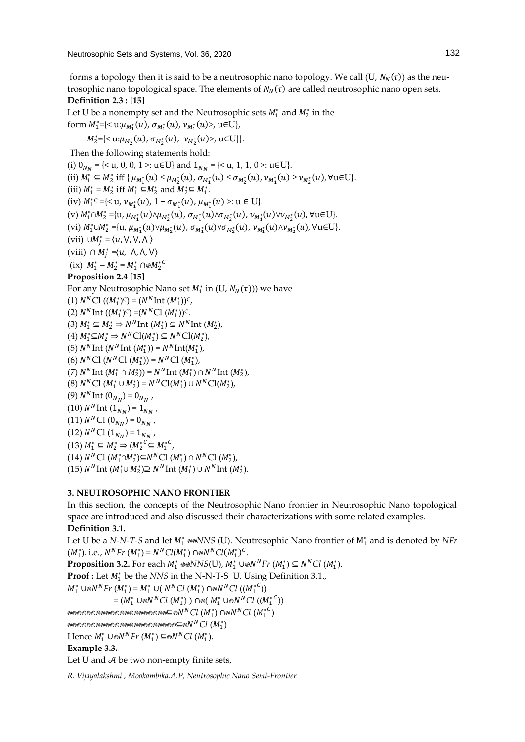forms a topology then it is said to be a neutrosophic nano topology. We call (U,  $N_N(\tau)$ ) as the neutrosophic nano topological space. The elements of  $N_N(\tau)$  are called neutrosophic nano open sets. **Definition 2.3 : [15]**

Let U be a nonempty set and the Neutrosophic sets  $M_1^*$  and  $M_2^*$  in the form  $M_1^* = \{ \langle u : \mu_{M_1^*}(u), \sigma_{M_1^*}(u), \nu_{M_1^*}(u) \rangle, u \in U \},$ 

 $M_2^* = \{<\mathbf{u}:\mu_{M_2^*}(u), \sigma_{M_2^*}(u), \ \nu_{M_2^*}(u)>, \ \mathbf{u} \in \mathbf{U}\}\}.$ 

Then the following statements hold:

(i)  $0_{N_N}$  = {< u, 0, 0, 1 >: u $\in$ U} and  $1_{N_N}$  = {< u, 1, 1, 0 >: u $\in$ U}. (ii)  $M_1^* \subseteq M_2^*$  iff  $\{ \mu_{M_1^*}(u) \leq \mu_{M_2^*}(u), \sigma_{M_1^*}(u) \leq \sigma_{M_2^*}(u), \nu_{M_1^*}(u) \geq \nu_{M_2^*}(u), \forall u \in U \}.$ (iii)  $M_1^* = M_2^*$  iff  $M_1^* \subseteq M_2^*$  and  $M_2^* \subseteq M_1^*$ . (iv)  $M_1^*$ <sup>c</sup> ={< u,  $v_{M_1^*}(u)$ , 1 –  $\sigma_{M_1^*}(u)$ ,  $\mu_{M_1^*}(u)$  >: u ∈ U}.  $(v)$   $M_1^* \cap M_2^* = \{u, \mu_{M_1^*}(u) \wedge \mu_{M_2^*}(u), \sigma_{M_1^*}(u) \wedge \sigma_{M_2^*}(u), \nu_{M_1^*}(u) \vee \nu_{M_2^*}(u), \forall u \in U\}.$  $(vi)$   $M_1^* \cup M_2^* = \{u, \mu_{M_1^*}(u) \vee \mu_{M_2^*}(u), \sigma_{M_1^*}(u) \vee \sigma_{M_2^*}(u), \nu_{M_1^*}(u) \wedge \nu_{M_2^*}(u), \forall u \in U\}.$ (vii) ∪ $M_j^* = \langle u, \vee, \vee, \wedge \rangle$ (viii)  $\cap M_j^* = \langle u, \land, \land, \lor \rangle$ (ix)  $M_1^* - M_2^* = M_1^* \cap \otimes M_2^{*C}$ **Proposition 2.4 [15]** For any Neutrosophic Nano set  $M_1^*$  in (U,  $N_N(\tau)$ )) we have (1)  $N^{N}C1 ((M_{1}^{*})^{c}) = (N^{N}Int (M_{1}^{*}))^{c}$ , (2)  $N^N \text{Int } ((M_1^*)^C) = (N^N \text{Cl } (M_1^*))^C$ . (3)  $M_1^* \subseteq M_2^* \Rightarrow N^N \text{Int} (M_1^*) \subseteq N^N \text{Int} (M_2^*)$ , (4)  $M_1^* \subseteq M_2^*$  ⇒  $N^NCl(M_1^*) \subseteq N^NCl(M_2^*)$ , (5)  $N^N \text{Int} (N^N \text{Int} (M_1^*)) = N^N \text{Int} (M_1^*)$ , (6)  $N<sup>N</sup>C1 (N<sup>N</sup>C1 (M<sub>1</sub><sup>*</sup>)) = N<sup>N</sup>C1 (M<sub>1</sub><sup>*</sup>),$ (7)  $N^N$ Int  $(M_1^* \cap M_2^*)$ ) =  $N^N$ Int  $(M_1^*) \cap N^N$ Int  $(M_2^*)$ , (8)  $N<sup>N</sup>C1 (M<sub>1</sub><sup>*</sup> \cup M<sub>2</sub><sup>*</sup>) = N<sup>N</sup>C1(M<sub>1</sub><sup>*</sup>) \cup N<sup>N</sup>C1(M<sub>2</sub><sup>*</sup>),$ (9)  $N^N \text{Int} \left( \textbf{0}_{N_N} \right) = \textbf{0}_{N_N}$  , (10)  $N^N \text{Int} (1_{N_N}) = 1_{N_N}$ , (11)  $N^{N}\mathrm{Cl}\left(0_{N_{N}}\right)=0_{N_{N}}$  , (12)  $N^{N}\mathrm{Cl}\left(1_{N_{N}}\right)=1_{N_{N}}$  ,  $(13)$   $M_1^* \subseteq M_2^* \Rightarrow (M_2^{*C} \subseteq M_1^{*C})$ (14)  $N^N C1 (M_1^* \cap M_2^*) \subseteq N^N C1 (M_1^*) \cap N^N C1 (M_2^*),$ (15)  $N^N \text{Int} \ (M_1^* \cup M_2^*) \supseteq N^N \text{Int} \ (M_1^*) \cup N^N \text{Int} \ (M_2^*).$ 

# **3. NEUTROSOPHIC NANO FRONTIER**

In this section, the concepts of the Neutrosophic Nano frontier in Neutrosophic Nano topological space are introduced and also discussed their characterizations with some related examples. **Definition 3.1.**

Let U be a *N-N-T-S* and let  $M_1^*$  ®®*NNS* (U). Neutrosophic Nano frontier of  $M_1^*$  and is denoted by *NFr*  $(M_1^*)$ . i.e.,  $N^N F r (M_1^*) = N^N Cl(M_1^*) \cap N^N Cl(M_1^*)^C$ .

**Proposition 3.2.** For each  $M_1^*$  ⊗⊗NNS(U),  $M_1^*$  ∪⊚N<sup>N</sup>Fr ( $M_1^*$ ) ⊆ N<sup>N</sup>Cl ( $M_1^*$ ).

**Proof :** Let  $M_1^*$  be the *NNS* in the N-N-T-S U. Using Definition 3.1.,

 $M_1^*$  ∪⊚ $N^N F$ r ( $M_1^*$ ) =  $M_1^*$  ∪(  $N^N C l$  ( $M_1^*$ ) ∩⊚ $N^N C l$  (( $M_1^*$ <sup>C</sup>))

 $=(M_1^* \cup \text{ON}^N Cl \ (M_1^*)) \cap \text{ON}^N \cup \text{ON}^N Cl \ ((M_1^{*C}))$ 

⊆⊚ $N<sup>N</sup>Cl (M<sub>1</sub><sup>*</sup>) \cap ∘N<sup>N</sup>Cl (M<sub>1</sub><sup>*</sup><sup>C</sup>)$ 

⊆⊚ $N^N$ Cl  $(M_1^*)$ 

Hence  $M_1^* \cup \text{O}N^N F$ r  $(M_1^*) \subseteq \text{O}N^N Cl (M_1^*)$ .

**Example 3.3.**

Let U and  $A$  be two non-empty finite sets,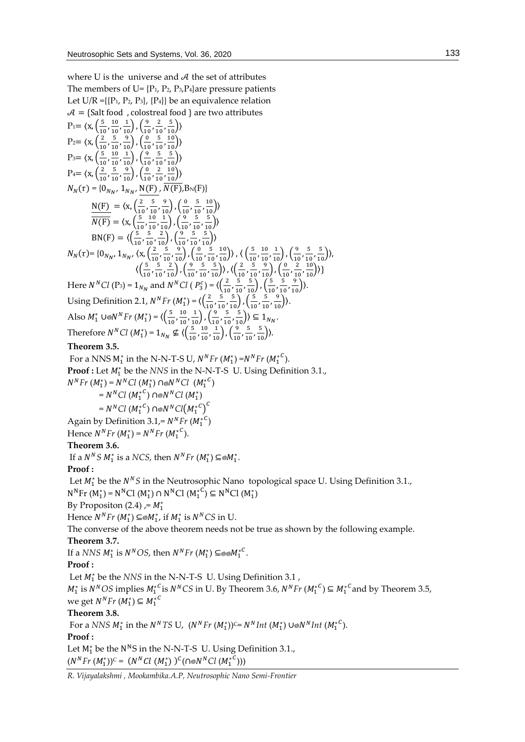where U is the universe and  $A$  the set of attributes The members of U=  $\{P_1, P_2, P_3, P_4\}$ are pressure patients Let  $U/R = \{P_1, P_2, P_3\}, \{P_4\}$  be an equivalence relation  $A = \{$ Salt food , colostreal food } are two attributes  $P_1 = \langle x, \frac{5}{10} \rangle$  $\frac{5}{10}$ ,  $\frac{10}{10}$  $\frac{10}{10}, \frac{1}{10}$ ,  $\left(\frac{9}{10}\right)$  $\frac{9}{10}$ ,  $\frac{2}{10}$  $\frac{2}{10}, \frac{5}{10}$ )  $P_2 = \langle x, \frac{2}{10} \rangle$  $\frac{2}{10}$ ,  $\frac{5}{10}$  $\frac{5}{10}, \frac{9}{10}$ ,  $\left(\frac{0}{10}\right)$  $\frac{0}{10}$ ,  $\frac{5}{10}$  $\frac{5}{10}, \frac{10}{10}$ )  $P_3 = \langle x, \left( \frac{5}{10} \right) \rangle$  $\frac{5}{10}$ ,  $\frac{10}{10}$  $\frac{10}{10}, \frac{1}{10}$ ,  $\left(\frac{9}{10}\right)$  $\frac{9}{10}$ ,  $\frac{5}{10}$  $\frac{5}{10}, \frac{5}{10}$ )  $P_4 = \langle x, \frac{2}{10} \rangle$  $\frac{2}{10}$ ,  $\frac{5}{10}$  $\frac{5}{10}, \frac{9}{10}$ ,  $\left(\frac{0}{10}\right)$  $\frac{0}{10}$ ,  $\frac{2}{10}$  $\frac{2}{10}, \frac{10}{10}$ )  $N_N(\tau) = \{0_{N_N}, 1_{N_N}\}$  $N_N(\tau) = \{0_{N_N},\,1_{N_N},\, {\rm N(F)}\,,\,\overline{N(F)},\allowbreak {\rm B_N(F)}\}$  $N(F) = \langle x, \frac{2}{\lambda} \rangle$  $\frac{2}{10}$ ,  $\frac{5}{10}$  $\frac{5}{10}, \frac{9}{10}$ ,  $\left(\frac{0}{10}\right)$  $\frac{0}{10}$ ,  $\frac{5}{10}$  $\frac{5}{10}, \frac{10}{10}$ )  $\overline{N(F)} = \langle x, \frac{5}{10} \rangle$  $\frac{5}{10}$ ,  $\frac{10}{10}$  $\frac{10}{10}, \frac{1}{10}$ ,  $\left(\frac{9}{10}\right)$  $\frac{9}{10}$ ,  $\frac{5}{10}$  $\frac{5}{10}, \frac{5}{10}$ )  $BN(F) = \langle \left( \frac{5}{10} \right) \rangle$  $\frac{5}{10}$ ,  $\frac{5}{10}$  $\frac{5}{10}, \frac{2}{10}$ ,  $\left(\frac{9}{10}\right)$  $\frac{9}{10}$ ,  $\frac{5}{10}$  $\frac{5}{10}, \frac{5}{10}$ )  $N_N(\tau)$ = {0<sub>NN</sub>, 1<sub>NN</sub>,  $\langle x, \frac{2}{10}\rangle$  $\frac{2}{10}$ ,  $\frac{5}{10}$  $\frac{5}{10}, \frac{9}{10}$ ,  $\left(\frac{0}{10}\right)$  $\frac{0}{10}$ ,  $\frac{5}{10}$  $\frac{5}{10}, \frac{10}{10}$ ),  $\left(\frac{5}{10}\right)$  $\frac{5}{10}$ ,  $\frac{10}{10}$  $\frac{10}{10}, \frac{1}{10}$ ,  $\left(\frac{9}{10}\right)$  $\frac{9}{10}$ ,  $\frac{5}{10}$  $\frac{5}{10}, \frac{5}{10}$ ),  $\langle \left( \frac{5}{10} \right)$  $\frac{5}{10}$ ,  $\frac{5}{10}$  $\frac{5}{10}, \frac{2}{10}$ ,  $\left(\frac{9}{10}\right)$  $\frac{9}{10}$ ,  $\frac{5}{10}$  $\frac{5}{10}, \frac{5}{10}$ ),  $\left\langle \frac{2}{10} \right\rangle$  $\frac{2}{10}$ ,  $\frac{5}{10}$  $\frac{5}{10}, \frac{9}{10}$ ,  $\left(\frac{0}{10}\right)$  $\frac{0}{10}$ ,  $\frac{2}{10}$  $\frac{2}{10}, \frac{10}{10}$ ) } Here  $N^NCl$  (P<sub>3</sub>) = 1<sub>N<sub>N</sub></sub> and  $N^NCl$  (  $P_3^c$ ) =  $\langle \left(\frac{2}{10}\right)^2 \frac{1}{10}\left(\frac{2}{10}\right)^2 \frac{1}{10}\left(\frac{2}{10}\right)^2$  $\frac{2}{10}$ ,  $\frac{5}{10}$  $\frac{5}{10}, \frac{5}{10}$ ,  $\left(\frac{5}{10}\right)$  $\frac{5}{10}$ ,  $\frac{5}{10}$  $\frac{5}{10}, \frac{9}{10}$ ). Using Definition 2.1,  $N^N Fr (M_1^*) = \langle \left( \frac{2}{100}\right)^2$  $\frac{2}{10}$ ,  $\frac{5}{10}$  $\frac{5}{10}, \frac{5}{10}$ ,  $\left(\frac{5}{10}\right)$  $\frac{5}{10}$ ,  $\frac{5}{10}$  $\frac{5}{10}, \frac{9}{10}$ ). Also *M*<sup>\*</sup><sub>1</sub> ∪⊚*N<sup>N</sup>Fr* (*M*<sup>\*</sup><sub>1</sub>) =  $\langle \left( \frac{5}{10} \right)$  $\frac{5}{10}$ ,  $\frac{10}{10}$  $\frac{10}{10}, \frac{1}{10}$ ,  $\left(\frac{9}{10}\right)$  $\frac{9}{10}$ ,  $\frac{5}{10}$  $\frac{5}{10}, \frac{5}{10}$ )  $\subseteq$   $1_{N_N}$ . Therefore  $N<sup>N</sup>Cl$  ( $M_1^*$ ) =  $1<sub>N<sub>N</sub></sub> \nsubseteq \langle \left(\frac{5}{10}\right)$  $\frac{5}{10}$ ,  $\frac{10}{10}$  $\frac{10}{10}, \frac{1}{10}$ ,  $\left(\frac{9}{10}\right)$  $\frac{9}{10}$ ,  $\frac{5}{10}$  $\frac{5}{10}, \frac{5}{10}$ ). **Theorem 3.5.** For a NNS  $M_1^*$  in the N-N-T-S U,  $N^N Fr (M_1^*) = N^N Fr (M_1^{*C})$ . **Proof :** Let  $M_1^*$  be the *NNS* in the N-N-T-S U. Using Definition 3.1.,  $N^{N}Fr (M_{1}^{*}) = N^{N}Cl (M_{1}^{*}) \cap \text{N}^{N}Cl (M_{1}^{*})$  $=N^NCl (M_1^*{}^C) \cap N^NCl (M_1^*)$  $=N^NCl(M_1^{\ast C})\cap o N^NCl(M_1^{\ast C})^C$ Again by Definition 3.1,=  $N^N F r$  ( $M_1^{*C}$ ) Hence  $N^N F r (M_1^*) = N^N F r (M_1^{*C})$ . **Theorem 3.6.** If a  $N^N S M_1^*$  is a *NCS*, then  $N^N F r (M_1^*) \subseteq M_1^*$ . **Proof :** Let  $M_1^*$  be the  $N^N S$  in the Neutrosophic Nano topological space U. Using Definition 3.1.,  $N^{N}$ Fr (M<sub>1</sub><sup>\*</sup>) =  $N^{N}$ Cl (M<sub>1</sub><sup>\*</sup>)  $\cap$   $N^{N}$ Cl (M<sub>1</sub><sup>\*</sup><sup>C</sup>)  $\subseteq$   $N^{N}$ Cl (M<sub>1</sub><sup>\*</sup>) By Propositon  $(2.4)$ , =  $M_1^*$ Hence  $N^N F r$   $(M_1^*) \subseteq M_1^*$ , if  $M_1^*$  is  $N^N CS$  in U. The converse of the above theorem needs not be true as shown by the following example. **Theorem 3.7.** If a *NNS*  $M_1^*$  is  $N^NOS$ , then  $N^NFr$   $(M_1^*) \subseteq \otimes \otimes {M_1^*}^C$ . **Proof :** Let  $M_1^*$  be the *NNS* in the N-N-T-S U. Using Definition 3.1,  $M_1^*$  is  $N^NOS$  implies  $M_1^*{}^C$  is  $N^NCS$  in U. By Theorem 3.6,  $N^NFr (M_1^*{}^C) \subseteq M_1^*{}^C$  and by Theorem 3.5, we get  $N^N F r$   $(M_1^*) \subseteq M_1^{*C}$ **Theorem 3.8.** For a *NNS*  $M_1^*$  in the *N<sup>N</sup>TS* U,  $(N^N Fr (M_1^*))^c = N^N Int (M_1^*) \cup N^N Int (M_1^{*c})$ . **Proof :**  Let  $M_1^*$  be the N<sup>N</sup>S in the N-N-T-S U. Using Definition 3.1.,

 $(N^N Fr (M_1^*))^c = (N^N Cl (M_1^*))^c (\cap \otimes N^N Cl (M_1^{*c})))$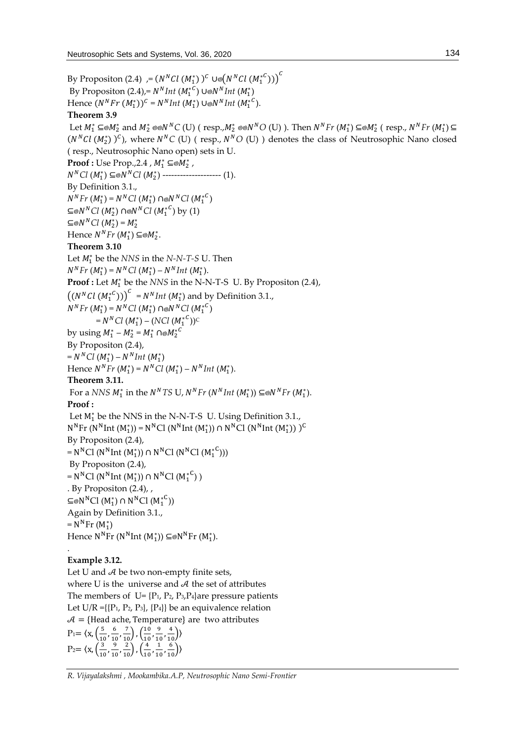By Propositon (2.4)  $\left. \quad \right. = (N^N C l \ (M_1^*) \ )^C \cup \text{\textcircled{}} \big( N^N C l \ (M_1^{*C}) \big) \big)^C$ By Propositon (2.4),=  $N^N Int (M_1^{*C}) \cup N^N Int (M_1^*)$ Hence  $(N^{N}Fr \ (M_{1}^{*}))^{C} = N^{N} Int \ (M_{1}^{*}) \cup \text{N}^{N} Int \ (M_{1}^{*C}).$ **Theorem 3.9** Let  $M_1^* \subseteq M_2^*$  and  $M_2^* \otimes N^N C$  (U) (  $resp., M_2^* \otimes N^N O$  (U) ). Then  $N^N Fr$   $(M_1^*) \subseteq M_2^*$  (  $resp., N^N Fr$   $(M_1^*) \subseteq N^N G$  $(N<sup>N</sup>Cl (M<sub>2</sub><sup>*</sup>) )<sup>C</sup>$ ), where  $N<sup>N</sup>C$  (U) ( resp.,  $N<sup>N</sup>O$  (U) ) denotes the class of Neutrosophic Nano closed ( resp., Neutrosophic Nano open) sets in U. **Proof :** Use Prop.,2.4 ,  $M_1^* \subseteq M_2^*$  ,  $N<sup>N</sup>Cl$  (*M*<sub>1</sub><sup>\*</sup>) ⊆⊚ $N<sup>N</sup>Cl$  (*M*<sub>2</sub><sup>\*</sup>) --------------------- (1). By Definition 3.1.,  $N^{N}Fr (M_{1}^{*}) = N^{N}Cl (M_{1}^{*}) \cap \text{N}^{N}Cl (M_{1}^{*})$ ⊆⊚ $N<sup>N</sup>Cl$  ( $M_2^*$ ) ∩⊚ $N<sup>N</sup>Cl$  ( $M_1^{*^C}$ ) by (1)  $\subseteq \otimes N^N C^1 (M_2^*) = M_2^*$ Hence  $N^N Fr\left(M_1^*\right) \subseteq \otimes M_2^*$ . **Theorem 3.10** Let  $M_1^*$  be the *NNS* in the *N-N-T-S* U. Then  $N^N F r (M_1^*) = N^N C l (M_1^*) - N^N Int (M_1^*).$ **Proof :** Let  $M_1^*$  be the *NNS* in the N-N-T-S U. By Propositon (2.4),  $((N<sup>n</sup>Cl (M<sub>1</sub><sup>*</sup>)))<sup>C</sup> = N<sup>N</sup>Int (M<sub>1</sub><sup>*</sup>)$  and by Definition 3.1.,  $N^{N}Fr (M_{1}^{*}) = N^{N}Cl (M_{1}^{*}) \cap \text{N}^{N}Cl (M_{1}^{*})$  $=N^NCl(M_1^*)-(NCl(M_1^{*^C}))^C$ by using  $M_1^* - M_2^* = M_1^* \cap \otimes M_2^{*C}$ By Propositon (2.4),  $=N^NCl (M_1^*) - N^N Int (M_1^*)$ Hence  $N^N F r (M_1^*) = N^N C l (M_1^*) - N^N Int (M_1^*).$ **Theorem 3.11.** For a *NNS*  $M_1^*$  in the *N<sup>N</sup>TS* U, *N<sup>N</sup>Fr* (*N<sup>N</sup>Int* ( $M_1^*$ )) ⊆⊗*N<sup>N</sup>Fr* ( $M_1^*$ ). **Proof :** Let  $M_1^*$  be the NNS in the N-N-T-S U. Using Definition 3.1.,  $N^{N}$ Fr (N<sup>N</sup>Int (M<sub>1</sub>)) = N<sup>N</sup>Cl (N<sup>N</sup>Int (M<sub>1</sub>)) ∩ N<sup>N</sup>Cl (N<sup>N</sup>Int (M<sub>1</sub>)) )<sup>C</sup> By Propositon (2.4),  $= N<sup>N</sup>Cl (N<sup>N</sup>Int (M<sub>1</sub><sup>*</sup>)) \cap N<sup>N</sup>Cl (N<sup>N</sup>Cl (M<sub>1</sub><sup>*</sup><sup>C</sup>)))$ By Propositon (2.4),  $= N<sup>N</sup>Cl (N<sup>N</sup>Int (M<sub>1</sub><sup>*</sup>)) \cap N<sup>N</sup>Cl (M<sub>1</sub><sup>*</sup><sup>C</sup>) )$ . By Propositon (2.4), , ⊆⊚N<sup>N</sup>Cl (M<sub>1</sub><sup>\*</sup>)∩ N<sup>N</sup>Cl (M<sup>\*</sup><sup>C</sup>)) Again by Definition 3.1.,  $= N^{N}$ Fr (M<sub>1</sub>\*) Hence  $N^N$ Fr ( $N^N$ Int ( $M_1^*$ )) ⊆@ $N^N$ Fr ( $M_1^*$ ). .

# **Example 3.12.**

Let U and  $A$  be two non-empty finite sets, where U is the universe and  $A$  the set of attributes The members of  $U = \{P_1, P_2, P_3, P_4\}$ are pressure patients Let  $U/R = \{P_1, P_2, P_3\}, \{P_4\}$  be an equivalence relation  $A = {Head$  ache, Temperature} are two attributes  $P_1 = \langle x, \frac{5}{16} \rangle$  $\frac{5}{10}$ ,  $\frac{6}{10}$  $\frac{6}{10}, \frac{7}{10}$ ,  $\left(\frac{10}{10}\right)$  $\frac{10}{10}$ ,  $\frac{9}{10}$  $\frac{9}{10}, \frac{4}{10}$ )  $P_2 = \langle x, \frac{3}{10} \rangle$  $\frac{3}{10}$ ,  $\frac{9}{10}$  $\frac{9}{10}, \frac{2}{10}$ ,  $\left(\frac{4}{10}\right)$  $\frac{4}{10}$ ,  $\frac{1}{10}$  $\frac{1}{10}, \frac{6}{10}$ )

*R. Vijayalakshmi , Mookambika.A.P, Neutrosophic Nano Semi-Frontier*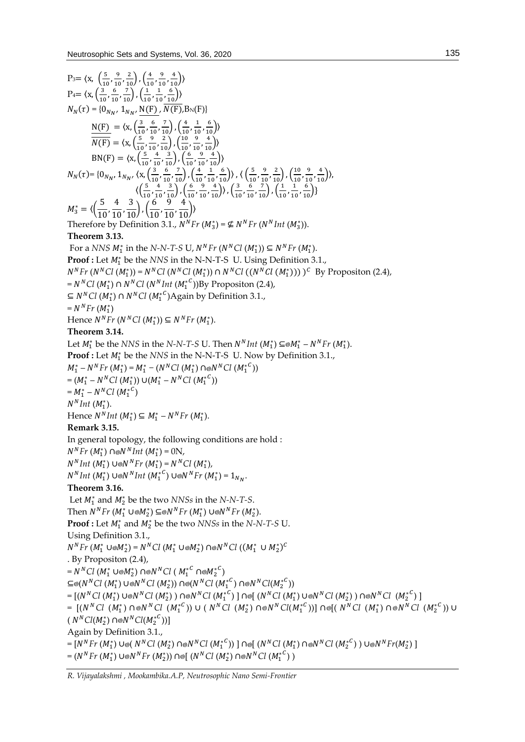P<sub>+</sub>= (x, 
$$
\left(\frac{5}{10}, \frac{9}{10}, \frac{2}{10}\right), \left(\frac{4}{10}, \frac{9}{10}, \frac{4}{10}\right)
$$
  
\nP<sub>+</sub>= (x,  $\left(\frac{1}{10}, \frac{9}{10}, \frac{2}{10}\right), \left(\frac{4}{10}, \frac{4}{10}, \frac{4}{10}\right)$   
\nP<sub>+</sub>= (x,  $\left(\frac{10}{10}, \frac{6}{10}, \frac{7}{10}\right), \left(\frac{4}{10}, \frac{1}{10}, \frac{4}{10}\right)$   
\n $N_N(\tau) = (0, \frac{1}{10}, \frac{1}{10}, \frac{1}{10}, \frac{1}{10}, \frac{1}{10}, \frac{1}{10})$   
\n $N_N(\tau) = (0, \frac{1}{10}, \frac{4}{10}, \frac{2}{10}, \frac{2}{10}, \frac{4}{10}, \frac{4}{10})$   
\n $N_N(\tau) = (0, \frac{1}{10}, \frac{4}{10}, \frac{2}{10}, \frac{4}{10}, \frac{4}{10}, \frac{4}{10})$   
\n $N_1(\tau) = (0, \frac{1}{10}, \frac{4}{10}, \frac{4}{10}, \frac{4}{10}, \frac{4}{10}, \frac{4}{10}, \frac{4}{10})$   
\n $N_2 = \left(\frac{5}{10}, \frac{4}{10}, \frac{3}{10}, \frac{4}{10}, \frac{4}{10}, \frac{4}{10}, \frac{4}{10}, \frac{4}{10}, \frac{4}{10}, \frac{4}{10}, \frac{4}{10}, \frac{4}{10}, \frac{4}{10}, \frac{4}{10}, \frac{4}{10}, \frac{4}{10}, \frac{4}{10}, \frac{4}{10}, \frac{4}{10}, \frac{4}{10}, \frac{4}{10}, \frac{4}{10}, \frac{4}{10}, \frac{4}{10}, \frac{4}{10}, \frac{4}{10}, \frac{4}{10}, \frac{4}{10}, \frac{4}{10}, \frac{4}{10}, \frac{4}{10}, \frac{4}{10}, \frac{4}{10}, \frac{4$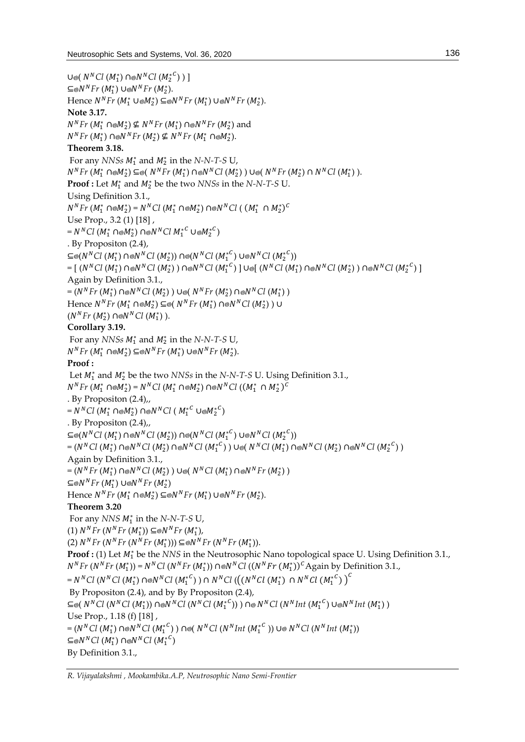```
U⊚( N<sup>N</sup>Cl (M_1^*) ∩⊚N<sup>N</sup>Cl (M_2^{*C}) ) ]
\subseteq \otimes N^N Fr (M_1^*) ∪\otimes N^N Fr (M_2^*).
Hence N^{N}Fr (M_{1}^{*} ∪⊚M_{2}^{*}) ⊆⊚N^{N}Fr (M_{1}^{*}) ∪⊚N^{N}Fr (M_{2}^{*}).
Note 3.17.
N^{N}Fr (M_{1}^{*} ∩⊗M_{2}^{*}) ⊈ N^{N}Fr (M_{1}^{*}) ∩⊚N^{N}Fr (M_{2}^{*}) and
N^{N}Fr (M<sub>1</sub><sup>*</sup>) ∩⊚N^{N}Fr (M<sub>2</sub><sup>*</sup>) ⊈ N^{N}Fr (M<sub>1</sub><sup>*</sup> ∩⊚M_{2}^{*}).
Theorem 3.18.
  For any NNSs M_1^* and M_2^* in the N-N-T-S U,
N^{N}Fr(M_{1}^{*} \cap \otimes M_{2}^{*}) \subseteq \otimes (N^{N}Fr(M_{1}^{*}) \cap \otimes N^{N}Cl(M_{2}^{*})\cup \otimes (N^{N}Fr(M_{2}^{*}) \cap N^{N}Cl(M_{1}^{*})\).Proof : Let M_1^* and M_2^* be the two NNSs in the N-N-T-S U.
Using Definition 3.1.,
N^{N}Fr (M_{1}^{*} \cap \text{®} M_{2}^{*}) = N^{N}Cl (M_{1}^{*} \cap \text{®} M_{2}^{*}) \cap \text{®} N^{N}Cl (M_{1}^{*} \cap M_{2}^{*})^{C}Use Prop., 3.2 (1) [18] ,
=N^NCl~(M_1^*~\cap ~ M_2^*)~\cap ~ N^NCl~{M_1^*}^C~\cup ~ M_2^*{}^C). By Propositon (2.4),
\subseteq \text{\textcircled{}}(N^N C I\ (M_1^*)\ \cap \text{\textcircled{}} N^N C I\ (M_2^*))\ \cap \text{\textcircled{}}(N^N C I\ (M_1^{*C})\ \cup \text{\textcircled{}} N^N C I\ (M_2^{*C}))\mathcal{L} = [ \; (N^N Cl \; (M_1^*) \; \cap \circledast N^N Cl \; (M_2^*)) \; \cap \circledast N^N Cl \; (M_1^{*\,C}) \; ] \cup \circledast [ \; (N^N Cl \; (M_1^*) \; \cap \circledast N^N Cl \; (M_2^*)) \; \cap \circledast N^N Cl \; (M_2^{*\,C}) \; ]Again by Definition 3.1.,
=(N^{N}Fr (M_{1}^{*}) \cap N^{N}Cl (M_{2}^{*})) UN^{N}Fr (M_{2}^{*}) \cap N^{N}Cl (M_{1}^{*})Hence N<sup>N</sup>Fr (M<sup>*</sup><sub>1</sub> ∩⊚M<sup>*</sup><sub>2</sub>) ⊆⊚( N<sup>N</sup>Fr (M<sup>*</sup><sub>1</sub>) ∩⊚N<sup>N</sup>Cl (M<sup>*</sup><sub>2</sub>)) ∪
(N^N Fr (M_2^*) \cap \otimes N^N Cl (M_1^*)).
Corollary 3.19.
  For any NNSs M_1^* and M_2^* in the N-N-T-S U,
N^{N}Fr (M_{1}^{*} \cap \otimes M_{2}^{*}) \subseteq \otimes N^{N}Fr (M_{1}^{*}) \cup \otimes N^{N}Fr (M_{2}^{*}).
Proof :
  Let M_1^* and M_2^* be the two NNSs in the N-N-T-S U. Using Definition 3.1.,
N^{N}Fr (M_{1}^{*} \cap \otimes M_{2}^{*}) = N^{N}Cl (M_{1}^{*} \cap \otimes M_{2}^{*}) \cap \otimes N^{N}Cl ((M_{1}^{*} \cap M_{2}^{*})^{C}). By Propositon (2.4),,
=N^N C l~(M_1^* \cap \otimes M_2^*) \cap \otimes N^N C l~(M_1^{*^C} \cup \otimes M_2^{*^C}). By Propositon (2.4),,
\subseteq \text{\textcircled{}}(N^N C I\ (M_1^*)\ \cap \text{\textcircled{}} N^N C I\ (M_2^*))\ \cap \text{\textcircled{}}(N^N C I\ (M_1^{*C})\ \cup \text{\textcircled{}} N^N C I\ (M_2^{*C}) )=(N^NCl~(M_1^*)\cap \text{\textcirc} N^NCl~(M_2^*)\cap \text{\textcirc} N^NCl~(M_1^{*^C}) ) ∪@( N^NCl~(M_1^*)\cap \text{\textcirc} N^NCl~(M_2^*)\cap \text{\textcirc} N^NCl~(M_2^{*^C}) )
Again by Definition 3.1.,
=(N^{N}Fr (M_{1}^{*}) \cap N^{N}Cl (M_{2}^{*})) U\otimes (N^{N}Cl (M_{1}^{*}) \cap N^{N}Fr (M_{2}^{*}))\subseteq \otimes N^N Fr (M_1^*) ∪\otimes N^N Fr (M_2^*)Hence N^{N}Fr (M_{1}^{*} ∩⊚M_{2}^{*}) ⊆⊚N^{N}Fr (M_{1}^{*}) ∪⊚N^{N}Fr (M_{2}^{*}).
Theorem 3.20
  For any NNS M_1^* in the N-N-T-S U,
(1) N^N F r (N^N F r (M_1^*)) ⊆⊚N^N F r (M_1^*),
(2) N<sup>N</sup> Fr (N<sup>N</sup> Fr (N<sup>N</sup> Fr (M<sub>1</sub><sup>*</sup>))) \subseteq N<sup>N</sup> Fr (N<sup>N</sup> Fr (M<sub>1</sub><sup>*</sup>)).Proof : (1) Let M_1^* be the NNS in the Neutrosophic Nano topological space U. Using Definition 3.1.,
N<sup>N</sup>Fr (N<sup>N</sup>Fr (M<sub>1</sub><sup>*</sup>)) = N<sup>N</sup>Cl (N<sup>N</sup>Fr (M<sub>1</sub><sup>*</sup>)) ∩⊚N<sup>N</sup>Cl ((N<sup>N</sup>Fr (M<sub>1</sub><sup>*</sup>))<sup>c</sup>Again by Definition 3.1.,
=N^NCl (N^NCl (M_1^*) \cap \text{\o} N^NCl (M_1^{*^C}) ) \cap N^NCl \left(\left(\left(N^NCl (M_1^*) \cap N^NCl (M_1^{*^C})\right)^C\right)By Propositon (2.4), and by By Propositon (2.4),
\subseteq©( N^NCl (N^NCl (M_1^*)) ∩©N^NCl (N^NCl (M_1^*<sup>C</sup>)) ) ∩© N^NCl (N^NInt(M_1^*<sup>C</sup>) ∪©N^NInt(M_1^*))Use Prop., 1.18 (f) [18] ,
\sigma=(N^NCl~(M_1^*)\cap\text{N}^NCl~(M_1^{*^C})\ )\cap\text{N}^CCl~(N^NInt~(M_1^{*^C}))\cup\text{N}^NCl~(N^NInt~(M_1^*))⊆⊚N^N C l (M_1^*) ∩⊚N^N C l (M_1^{*C})By Definition 3.1.,
```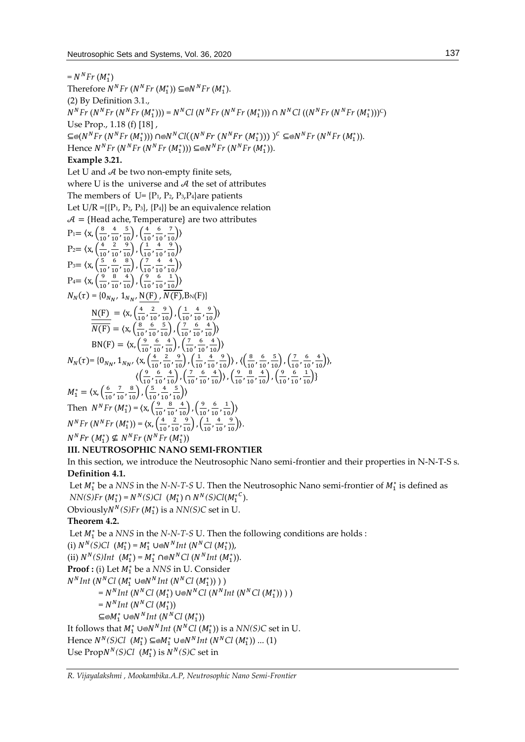$= N^N F r (M_1^*)$ Therefore  $N^N Fr (N^N Fr (M_1^*)) \subseteq N^N Fr (M_1^*)$ . (2) By Definition 3.1.,  $N^{N}Fr(N^{N}Fr(N^{N}Fr(M_{1}^{*}))) = N^{N}Cl(N^{N}Fr(N^{N}Fr(M_{1}^{*}))) \cap N^{N}Cl((N^{N}Fr(N^{N}Fr(M_{1}^{*})))^{C})$ Use Prop., 1.18 (f) [18] ,  $\subseteq$ ⊗(*N<sup>N</sup>Fr* (*N<sup>N</sup>Fr* (*M*<sub>1</sub><sup>\*</sup>))) ∩⊚*N<sup>N</sup>Cl*((*N<sup>N</sup>Fr* (*N<sup>N</sup>Fr* (*M*<sub>1</sub>\*)))))<sup>C</sup>  $\subseteq$ ⊚*N<sup>N</sup>Fr* (*N<sup>N</sup>Fr* (*M*<sub>1</sub><sup>\*</sup>)). Hence  $N^{N}Fr$  ( $N^{N}Fr$  ( $N^{N}Fr$  ( $M_{1}^{*}$ ))) ⊆⊚ $N^{N}Fr$  ( $N^{N}Fr$  ( $M_{1}^{*}$ )).

#### **Example 3.21.**

Let U and  $A$  be two non-empty finite sets, where U is the universe and  $A$  the set of attributes The members of  $U = \{P_1, P_2, P_3, P_4\}$ are patients Let U/R = $\{P_1, P_2, P_3\}$ ,  $\{P_4\}$  be an equivalence relation  $A = {Head$  ache, Temperature} are two attributes  $P_1 = \langle x, \left( \frac{8}{10} \right) \rangle$  $\frac{8}{10}$ ,  $\frac{4}{10}$  $\frac{4}{10}, \frac{5}{10}$ ,  $\left(\frac{4}{10}\right)$  $\frac{4}{10}$ ,  $\frac{6}{10}$  $\frac{6}{10}, \frac{7}{10}$ )  $P_2 = \langle x, \left( \frac{4}{10} \right) \rangle$  $\frac{4}{10}$ ,  $\frac{2}{10}$  $\frac{2}{10}, \frac{9}{10}$ ,  $\left(\frac{1}{10}\right)$  $\frac{1}{10}$ ,  $\frac{4}{10}$  $\frac{4}{10}, \frac{9}{10}$ )  $P_3 = \langle x, \left( \frac{5}{10} \right) \rangle$  $\frac{5}{10}$ ,  $\frac{6}{10}$  $\frac{6}{10}, \frac{8}{10}$ ,  $\left(\frac{7}{10}\right)$  $\frac{7}{10}$ ,  $\frac{4}{10}$  $\frac{4}{10}, \frac{4}{10}$ )  $P_4 = \langle x, \frac{9}{14} \rangle$  $\frac{9}{10}$ ,  $\frac{8}{10}$  $\frac{8}{10}, \frac{4}{10}$ ,  $\left(\frac{9}{10}\right)$  $\frac{9}{10}$ ,  $\frac{6}{10}$  $\frac{6}{10}, \frac{1}{10}$ )  $N_N(\tau) = \{0_{N_N}, 1_{N_N}, \frac{N(F)}{N(F)}, N(F), B_N(F)\}\$  $N(F) = \langle X, \frac{4}{10} \rangle$  $\frac{4}{10}$ ,  $\frac{2}{10}$  $\frac{2}{10}, \frac{9}{10}$ ,  $\left(\frac{1}{10}\right)$  $\frac{1}{10}$ ,  $\frac{4}{10}$  $\frac{4}{10}, \frac{9}{10}$ )  $\overline{N(F)} = \langle x, \frac{8}{10} \rangle$  $\frac{8}{10}$ ,  $\frac{6}{10}$  $\frac{6}{10}, \frac{5}{10}$ ,  $\left(\frac{7}{10}\right)$  $\frac{7}{10}$ ,  $\frac{6}{10}$  $\frac{6}{10}, \frac{4}{10}$ )  $BN(F) = \langle x, \frac{9}{10}\rangle$  $\frac{9}{10}$ ,  $\frac{6}{10}$  $\frac{6}{10}, \frac{4}{10}$ ,  $\left(\frac{7}{10}\right)$  $\frac{7}{10}$ ,  $\frac{6}{10}$  $\frac{6}{10}, \frac{4}{10}$ )  $N_N(\tau)$ = {0<sub>N<sub>N</sub>, 1<sub>N<sub>N</sub>,  $\langle x, \frac{4}{10}\rangle$ </sub></sub>  $\frac{4}{10}$ ,  $\frac{2}{10}$  $\frac{2}{10}, \frac{9}{10}$ ,  $\left(\frac{1}{10}\right)$  $\frac{1}{10}$ ,  $\frac{4}{10}$  $\frac{4}{10}, \frac{9}{10}$ ),  $\left\langle \frac{8}{10} \right\rangle$  $\frac{8}{10}$ ,  $\frac{6}{10}$  $\frac{6}{10}, \frac{5}{10}$ ,  $\left(\frac{7}{10}\right)$  $\frac{7}{10}$ ,  $\frac{6}{10}$  $\frac{6}{10}, \frac{4}{10}$ ),  $\langle \left( \frac{9}{10} \right)$  $\frac{9}{10}$ ,  $\frac{6}{10}$  $\frac{6}{10}, \frac{4}{10}$ ,  $\left(\frac{7}{10}\right)$  $\frac{7}{10}$ ,  $\frac{6}{10}$  $\frac{6}{10}, \frac{4}{10}$ ),  $\left(\frac{9}{10}\right)$  $\frac{9}{10}$ ,  $\frac{8}{10}$  $\frac{8}{10}, \frac{4}{10}$ ,  $\left(\frac{9}{10}\right)$  $\frac{9}{10}$ ,  $\frac{6}{10}$  $\frac{6}{10}, \frac{1}{10}$ }  $M_1^* = \langle X, \left( \frac{6}{10} \right) \rangle$  $\frac{6}{10}$ ,  $\frac{7}{10}$  $\frac{7}{10}, \frac{8}{10}$ ,  $\left(\frac{5}{10}\right)$  $\frac{5}{10}$ ,  $\frac{4}{10}$  $\frac{4}{10}, \frac{5}{10}$ ) Then  $N^N F r (M_1^*) = \langle x, \frac{9}{10} \rangle$  $\frac{9}{10}$ ,  $\frac{8}{10}$  $\frac{8}{10}, \frac{4}{10}$ ,  $\left(\frac{9}{10}\right)$  $\frac{9}{10}$ ,  $\frac{6}{10}$  $\frac{6}{10}, \frac{1}{10}$ )  $N^N F r (N^N F r (M_1^*)) = \langle x, \frac{4}{10} \rangle$  $\frac{4}{10}$ ,  $\frac{2}{10}$  $\frac{2}{10}, \frac{9}{10}$ ,  $\left(\frac{1}{10}\right)$  $\frac{1}{10}$ ,  $\frac{4}{10}$ <sup>*I</sup>Fr* (*M*<sub>1</sub><sup>\*</sup>)) = {x,  $\left(\frac{4}{10}, \frac{2}{10}, \frac{9}{10}\right)$ ,  $\left(\frac{1}{10}, \frac{4}{10}, \frac{9}{10}\right)$ }.<br>\*)  $\sigma$  *N<sup>N</sup>Fr* (*N<sup>N</sup>Fr* (*M*<sup>\*</sup>)</sub>.</sup>  $N^N Fr (M_1^*) \nsubseteq N^N Fr (N^N Fr (M_1^*))$ 

### **III. NEUTROSOPHIC NANO SEMI-FRONTIER**

In this section, we introduce the Neutrosophic Nano semi-frontier and their properties in N-N-T-S s. **Definition 4.1.**

Let  $M_1^*$  be a *NNS* in the *N-N-T-S* U. Then the Neutrosophic Nano semi-frontier of  $M_1^*$  is defined as *NN(S)Fr*  $(M_1^*) = N^N(S)Cl (M_1^*) \cap N^N(S)Cl(M_1^{*C})$ .

Obviously  $N^N(S)$  *Fr*  $(M_1^*)$  is a  $NN(S)$ *C* set in U.

#### **Theorem 4.2.**

Let  $M_1^*$  be a *NNS* in the *N-N-T-S* U. Then the following conditions are holds : (i)  $N^N(S)Cl \ (M_1^*) = M_1^* \cup \text{N}^N Int \ (N^NCl \ (M_1^*)),$ (ii)  $N^N(S)Int \ (M_1^*) = M_1^* \cap \text{ON}^NCl \ (N^NInt \ (M_1^*)).$ **Proof :** (i) Let  $M_1^*$  be a NNS in U. Consider  $N^N Int (N^N C l (M_1^* \cup \mathcal{M}^N Int (N^N C l (M_1^*)))$ )  $= N^N Int (N^N Cl (M_1^*)) \cup N^N Cl (N^N Int (N^N Cl (M_1^*)))$  $= N<sup>N</sup> Int (N<sup>N</sup>Cl (M<sub>1</sub><sup>*</sup>))$ ⊆⊚ $M_1^*$  ∪⊚ $N^N Int$   $(N^N Cl (M_1^*))$ It follows that  $M_1^* \cup \text{O}N^N Int (N^N Cl (M_1^*))$  is a  $NN(S)C$  set in U.

Hence  $N^N(S)Cl$  ( $M_1^*$ ) ⊆⊗ $M_1^*$  ∪⊗ $N^NInt$  ( $N^NCl$  ( $M_1^*$ )) ... (1) Use  $\text{Prop}N^N(S)Cl$  ( $M_1^*$ ) is  $N^N(S)C$  set in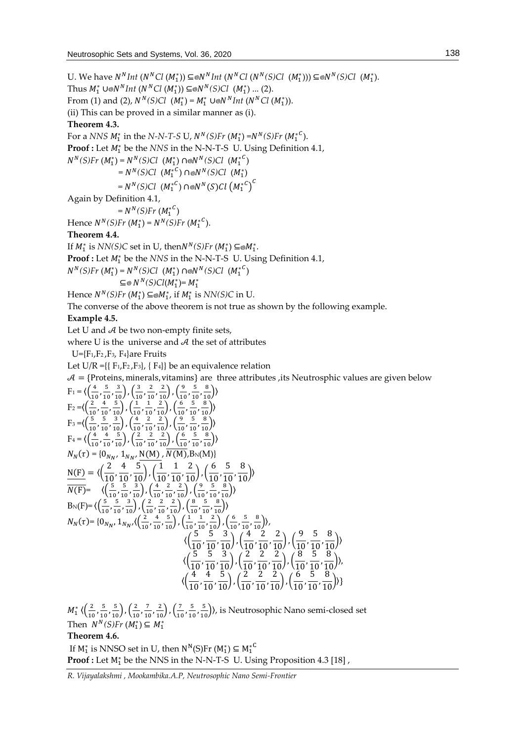U. We have  $N^N Int (N^N C l (M_1^*)) \subseteq N^N Int (N^N C l (N^N (S) C l (M_1^*))) \subseteq N^N (S) C l (M_1^*).$ Thus  $M_1^*$  ∪*®N<sup>N</sup>Int* (*N<sup>N</sup>Cl* ( $M_1^*$ )) ⊆*®N<sup>N</sup>(S)Cl* ( $M_1^*$ ) ... (2). From (1) and (2),  $N^N(S)Cl$  ( $M_1^*$ ) =  $M_1^*$   $\cup \text{O}N^N Int$  ( $N^NCl$  ( $M_1^*$ )). (ii) This can be proved in a similar manner as (i). **Theorem 4.3.** For a *NNS*  $M_1^*$  in the *N-N-T-S* U,  $N^N(S)$ *Fr*  $(M_1^*)$  =  $N^N(S)$ *Fr*  $(M_1^{*C})$ . **Proof :** Let  $M_1^*$  be the *NNS* in the N-N-T-S U. Using Definition 4.1,  $N^N(S)Fr (M_1^*) = N^N(S)Cl (M_1^*) \cap \text{∩}N^N(S)Cl (M_1^*^C)$  $=N^N(S)Cl$   $(M_1^{*C}) \cap \text{N}(S)Cl$   $(M_1^*)$  $=N^{N}(S)Cl$   $(M_{1}^{*C})$   $\cap \text{\O}N^{N}(S)Cl$   $(M_{1}^{*C})^{C}$ Again by Definition 4.1,  $=N^{N}(S)Fr (M_{1}^{*C})$ Hence  $N^N(S)Fr (M_1^*) = N^N(S)Fr (M_1^{*C})$ . **Theorem 4.4.** If  $M_1^*$  is *NN(S)C* set in U, then $N^N(S)$ Fr  $(M_1^*) \subseteq M_1^*$ . **Proof :** Let  $M_1^*$  be the *NNS* in the N-N-T-S U. Using Definition 4.1,  $N^N(S)Fr (M_1^*) = N^N(S)Cl (M_1^*) \cap ⊗ N^N(S)Cl (M_1^{*^C})$  $\subseteq \otimes N^N(S)Cl(M_1^*)=M_1^*$ Hence  $N^N(S)Fr\left(M_1^*\right) \subseteq \otimes M_1^*$ , if  $M_1^*$  is  $NN(S)C$  in U. The converse of the above theorem is not true as shown by the following example. **Example 4.5.** Let U and  $A$  be two non-empty finite sets, where U is the universe and  $A$  the set of attributes  $U=\{F_1,F_2,F_3,F_4\}$ are Fruits Let  $U/R = \{F_1, F_2, F_3\}$ ,  $\{F_4\}$  be an equivalence relation  $\mathcal{A} = \{$ Proteins, minerals, vitamins} are three attributes , its Neutrosphic values are given below  $F_1 = \langle \left( \frac{4}{10} \right.$  $\frac{4}{10}$ ,  $\frac{5}{10}$  $\frac{5}{10}, \frac{3}{10}$ ,  $\left(\frac{3}{10}\right)$  $\frac{3}{10}$ ,  $\frac{2}{10}$  $\frac{2}{10}, \frac{2}{10}$ ,  $\left(\frac{9}{10}\right)$  $\frac{9}{10}$ ,  $\frac{5}{10}$  $\frac{5}{10}, \frac{8}{10}$ )  $F_2 = \left( \frac{2}{10} \right)$  $\frac{2}{10}$ ,  $\frac{4}{10}$  $\frac{4}{10}, \frac{5}{10}$ ,  $\left(\frac{1}{10}\right)$  $\frac{1}{10}$ ,  $\frac{1}{10}$  $\frac{1}{10}, \frac{2}{10}$ ,  $\left(\frac{6}{10}\right)$  $\frac{6}{10}$ ,  $\frac{5}{10}$  $\frac{5}{10}, \frac{8}{10}$ )  $F_3 = \left(\frac{5}{10}\right)$  $\frac{5}{10}$ ,  $\frac{5}{10}$  $\frac{5}{10}, \frac{3}{10}$ ,  $\left(\frac{4}{10}\right)$  $\frac{4}{10}$ ,  $\frac{2}{10}$  $\frac{2}{10}, \frac{2}{10}$ ,  $\left(\frac{9}{10}\right)$  $\frac{9}{10}$ ,  $\frac{5}{10}$  $\frac{5}{10}, \frac{8}{10}$ )  $F_4 = \langle \left( \frac{4}{16} \right)$  $\frac{4}{10}$ ,  $\frac{4}{10}$  $\frac{4}{10}, \frac{5}{10}$ ,  $\left(\frac{2}{10}\right)$  $\frac{2}{10}$ ,  $\frac{2}{10}$  $\frac{2}{10}, \frac{2}{10}$ ,  $\left(\frac{6}{10}\right)$  $\frac{6}{10}$ ,  $\frac{5}{10}$  $\frac{5}{10}, \frac{8}{10}$ )  $N_N(\tau) = \{0_{N_{N'}}\, 1_{N_{N'}}\, \frac{N(M)}{N(M)}, N(M), B_N(M)\}$  $N(F) = \langle \left(\frac{2}{10}, \frac{4}{10}, \frac{5}{10}\right), \left(\frac{1}{10}, \frac{1}{10}, \frac{2}{10}\right), \left(\frac{6}{10}, \frac{5}{10}, \frac{8}{10}\right) \rangle$  $\overline{N(F)}$ =  $\langle \left(\frac{5}{10}\right)$  $\frac{5}{10}$ ,  $\frac{5}{10}$  $\frac{5}{10}, \frac{3}{10}$ ,  $\left(\frac{4}{10}\right)$  $\frac{4}{10}$ ,  $\frac{2}{10}$  $\frac{2}{10}, \frac{2}{10}$ ,  $\left(\frac{9}{10}\right)$  $\frac{9}{10}$ ,  $\frac{5}{10}$  $\frac{5}{10}, \frac{8}{10}$ )  $B_N(F)=\langle \left(\frac{5}{10}\right)^5$  $\frac{5}{10}$ ,  $\frac{5}{10}$  $\frac{5}{10}, \frac{3}{10}$ ,  $\left(\frac{2}{10}\right)$  $\frac{2}{10}$ ,  $\frac{2}{10}$  $\frac{2}{10}, \frac{2}{10}$ ,  $\left(\frac{8}{10}\right)$  $\frac{8}{10}$ ,  $\frac{5}{10}$  $\frac{5}{10}, \frac{8}{10}$ )  $N_N(\tau)$ = {0<sub>NN</sub>, 1<sub>NN</sub>, { $\left(\frac{2}{10}\right)$  $\frac{2}{10}$ ,  $\frac{4}{10}$  $\frac{4}{10}, \frac{5}{10}$ ,  $\left(\frac{1}{10}\right)$  $\frac{1}{10}$ ,  $\frac{1}{10}$  $\frac{1}{10}, \frac{2}{10}$ ,  $\left(\frac{6}{10}\right)$  $\frac{6}{10}$ ,  $\frac{5}{10}$  $\frac{5}{10}, \frac{8}{10}$ ),

10 10) (10 10 10 10 10  
\n
$$
\langle \left(\frac{5}{10}, \frac{5}{10}, \frac{3}{10}\right), \left(\frac{4}{10}, \frac{2}{10}, \frac{2}{10}\right), \left(\frac{9}{10}, \frac{5}{10}, \frac{8}{10}\right) \rangle
$$
\n
$$
\langle \left(\frac{5}{10}, \frac{5}{10}, \frac{3}{10}\right), \left(\frac{2}{10}, \frac{2}{10}, \frac{2}{10}\right), \left(\frac{8}{10}, \frac{5}{10}, \frac{8}{10}\right) \rangle
$$
\n
$$
\langle \left(\frac{4}{10}, \frac{4}{10}, \frac{5}{10}\right), \left(\frac{2}{10}, \frac{2}{10}, \frac{2}{10}\right), \left(\frac{6}{10}, \frac{5}{10}, \frac{8}{10}\right) \rangle \}
$$

 $M_1^* \; \langle \left( \frac{2}{16} \right.$  $\frac{2}{10}$ ,  $\frac{5}{10}$  $\frac{5}{10}, \frac{5}{10}$ ,  $\left(\frac{2}{10}\right)$  $\frac{2}{10}$ ,  $\frac{7}{10}$  $\frac{7}{10}, \frac{2}{10}$ ,  $\left(\frac{7}{10}\right)$  $\frac{7}{10}$ ,  $\frac{5}{10}$  $\left(\frac{5}{10}, \frac{5}{10}\right)$ ), is Neutrosophic Nano semi-closed set Then  $N^N(S)Fr (M_1^*) \subseteq M_1^*$ **Theorem 4.6.**

If  $M_1^*$  is NNSO set in U, then  $N^N(S)$ Fr  $(M_1^*) \subseteq M_1^{*C}$ **Proof :** Let  $M_1^*$  be the NNS in the N-N-T-S U. Using Proposition 4.3 [18],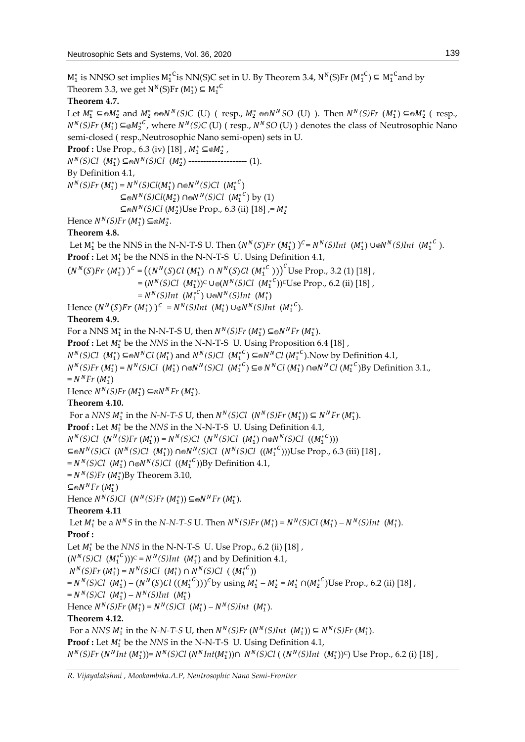$M_1^*$  is NNSO set implies  $M_1^{*C}$ is NN(S)C set in U. By Theorem 3.4, N<sup>N</sup>(S)Fr ( $M_1^{*C}$ )  $\subseteq M_1^{*C}$ and by Theorem 3.3, we get  $N^N(S)$ Fr  $(M_1^*) \subseteq M_1^{*C}$ **Theorem 4.7.** Let  $M_1^* \subseteq M_2^*$  and  $M_2^* \otimes N^N(S)C$  (U) ( resp.,  $M_2^* \otimes N^NSO$  (U) ). Then  $N^N(S)Fr$   $(M_1^*) \subseteq M_2^*$  ( resp., *N*<sup>*N*</sup>(*S*)*Fr* (*M*<sub>1</sub><sup>\*</sup>)⊆⊚*M*<sub>2</sub><sup>\*</sup><sup>*C*</sup>, where *N<sup>N</sup>*(*S*)C (U) ( resp., *N<sup>N</sup>SO* (U) ) denotes the class of Neutrosophic Nano semi-closed ( resp.,Neutrosophic Nano semi-open) sets in U. **Proof :** Use Prop., 6.3 (iv) [18] ,  $M_1^* \subseteq M_2^*$  ,  $N^N(S)Cl$  (*M*<sup>\*</sup><sub>1</sub>) ⊆⊚ $N^N(S)Cl$  (*M*<sup>\*</sup><sub>2</sub>) ---------------------- (1). By Definition 4.1,  $N^N(S)Fr (M_1^*) = N^N(S)Cl(M_1^*) \cap ⊗ N^N(S)Cl (M_1^*^C)$  $\subseteq \otimes N^N(S)Cl(M_2^*) \cap \otimes N^N(S)Cl \ \ (M_1^{*^C}) \text{ by (1)}$ ⊆⊚ $N^N(S)Cl$  ( $M_2^*$ )Use Prop., 6.3 (ii) [18] ,=  $M_2^*$ Hence  $N^N(S)$ *Fr*  $(M_1^*) \subseteq M_2^*$ . **Theorem 4.8.** Let  $M_1^*$  be the NNS in the N-N-T-S U. Then  $(N^N(S)Fr (M_1^*) )^c = N^N(S)Int (M_1^*) \cup \emptyset N^N(S)Int (M_1^{*c})$ . **Proof :** Let  $M_1^*$  be the NNS in the N-N-T-S U. Using Definition 4.1,  $(N^N(S)Fr (M_1^*))^C = ((N^N(S)Cl (M_1^*) \cap N^N(S)Cl (M_1^{*C})))^C$ Use Prop., 3.2 (1) [18],  $=(N^N(S)Cl \ (M_1^*))^C \cup \{N^N(S)Cl \ (M_1^{*C})\}^C$ Use Prop., 6.2 (ii) [18],  $=N^N(S)Int~(M_1^{*^C})\cup N^N(S)Int~(M_1^*)$ Hence  $(N^N(S)Fr (M_1^*))^C = N^N(S)Int (M_1^*) \cup \text{N}^N(S)Int (M_1^{*C}).$ **Theorem 4.9.** For a NNS  $M_1^*$  in the N-N-T-S U, then  $N^N(S)Fr\left(M_1^*\right) \subseteq \otimes N^NFr\left(M_1^*\right)$ . **Proof :** Let  $M_1^*$  be the *NNS* in the N-N-T-S U. Using Proposition 6.4 [18],  $N^N(S)Cl$  ( $M_1^*$ ) ⊆⊗ $N^NCl$  ( $M_1^*$ ) and  $N^N(S)Cl$  ( $M_1^{*C}$ ) ⊆⊚ $N^NCl$  ( $M_1^{*C}$ ).Now by Definition 4.1,  $N^{N}(S)$ Fr ( $M_{1}^{*}$ ) =  $N^{N}(S)$ Cl ( $M_{1}^{*}$ ) ∩⊚ $N^{N}(S)$ Cl ( $M_{1}^{*C}$ ) ⊆⊚  $N^{N}$ Cl ( $M_{1}^{*}$ ) ∩⊚ $N^{N}$ Cl ( $M_{1}^{*}$ °)By Definition 3.1.,  $= N^N F r (M_1^*)$ Hence  $N^N(S)Fr\left(M_1^*\right) \subseteq \otimes N^N Fr\left(M_1^*\right)$ . **Theorem 4.10.** For a *NNS*  $M_1^*$  in the *N-N-T-S* U, then  $N^N(S)Cl$   $(N^N(S)Fr \ (M_1^*)$   $\subseteq N^NFr \ (M_1^*)$ . **Proof :** Let  $M_1^*$  be the *NNS* in the N-N-T-S U. Using Definition 4.1,  $N^N(S)Cl$  ( $N^N(S)Fr$  ( $M_1^*$ )) =  $N^N(S)Cl$  ( $N^N(S)Cl$  ( $M_1^*$ ) ∩⊚ $N^N(S)Cl$  (( $M_1^{*^C}$ ))) ⊆⊚N<sup>N</sup>(S)Cl (N<sup>N</sup>(S)Cl (M<sup>\*</sup>)) ∩⊚N<sup>N</sup>(S)Cl (N<sup>N</sup>(S)Cl ((M<sup>\*C</sup>)))Use Prop., 6.3 (iii) [18],  $=N^N(S)Cl$  (*M*<sup>\*</sup><sub>1</sub>)∩⊚*N<sup>N</sup>*(*S*)*Cl* ((*M*<sup>\*</sup><sub>1</sub><sup>°</sup>))By Definition 4.1,  $=N^N(S)Fr(M_1^*)$ By Theorem 3.10, ⊆⊚ $N^N$ Fr  $(M_1^*)$ Hence  $N^N(S)Cl$   $(N^N(S)Fr (M_1^*)) \subseteq N^N Fr (M_1^*)$ . **Theorem 4.11** Let  $M_1^*$  be a  $N^N S$  in the *N-N-T-S* U. Then  $N^N(S)Fr(M_1^*) = N^N(S)Cl(M_1^*) - N^N(S)Int(M_1^*)$ . **Proof :**  Let  $M_1^*$  be the *NNS* in the N-N-T-S U. Use Prop., 6.2 (ii) [18],  $(N^N(S)Cl \ (M_1^{*C}))$ <sup>C</sup> =  $N^N(S)Int \ (M_1^*)$  and by Definition 4.1,  $N^N(S)Fr (M_1^*) = N^N(S)Cl (M_1^*) \cap N^N(S)Cl (M_1^{*C})$ =  $N^N(S)Cl$  ( $M_1^*$ ) –  $(N^N(S)Cl$  ( $(M_1^{*C}))$ )<sup>c</sup>by using  $M_1^* - M_2^* = M_1^* \cap (M_2^{*C})$ Use Prop., 6.2 (ii) [18],  $=N^N(S)Cl (M_1^*) - N^N(S)Int (M_1^*)$ Hence  $N^N(S)Fr (M_1^*) = N^N(S)Cl (M_1^*) - N^N(S)Int (M_1^*)$ . **Theorem 4.12.** For a *NNS*  $M_1^*$  in the *N-N-T-S* U, then  $N^N(S)$ *Fr*  $(N^N(S)$ *Int*  $(M_1^*)$  $\subseteq$   $N^N(S)$ *Fr*  $(M_1^*)$ *.* **Proof :** Let  $M_1^*$  be the *NNS* in the N-N-T-S U. Using Definition 4.1,  $N^N(S)$ Fr ( $N^NInt (M_1^*)$ )=  $N^N(S)$ Cl ( $N^NInt(M_1^*)$ )∩  $N^N(S)$ Cl ( $(N^N(S)Int (M_1^*))$ °) Use Prop., 6.2 (i) [18] ,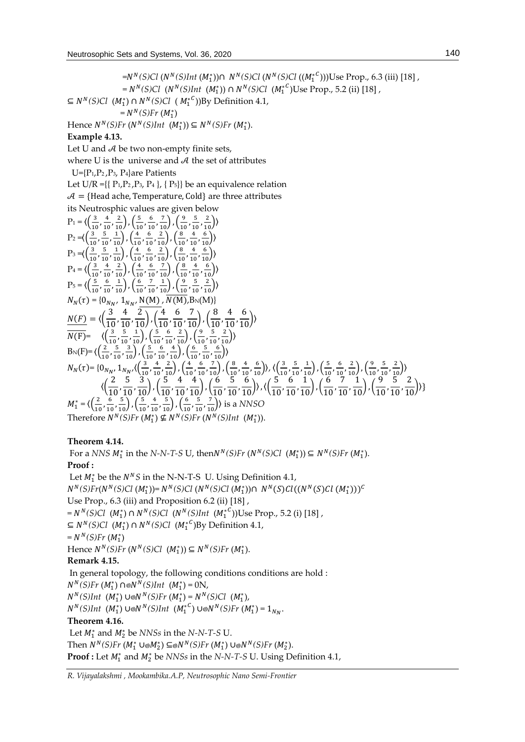= *(S)Cl* ( *(S)Int* (<sup>1</sup> ∗ ))∩ *(S)Cl* ( *(S)Cl* ((<sup>1</sup> ∗ )))Use Prop., 6.3 (iii) [18] ,  $=N^N(S)Cl$  ( $N^N(S)Int$  ( $M_1^*$ ))  $\cap N^N(S)Cl$  ( $M_1^{*^C}$ )Use Prop., 5.2 (ii) [18], ⊆  $N^N(S)Cl$  ( $M_1^*$ ) ∩  $N^N(S)Cl$  ( $M_1^{*^C}$ ))By Definition 4.1,  $=N^{N}(S)Fr (M_{1}^{*})$ Hence  $N^N(S)$ *Fr* ( $N^N(S)$ *Int* ( $M_1^*$ )) ⊆  $N^N(S)$ *Fr* ( $M_1^*$ ). **Example 4.13.** Let U and  $A$  be two non-empty finite sets, where U is the universe and  $A$  the set of attributes U={P1,P2 ,P3, P4}are Patients Let U/R ={ $\{P_1, P_2, P_3, P_4\}$ ,  $\{P_5\}$ } be an equivalence relation  $A = {Head$  ache, Temperature, Cold} are three attributes its Neutrosphic values are given below  $P_1 = \langle \left( \frac{3}{16} \right)$  $\frac{3}{10}$ ,  $\frac{4}{10}$  $\frac{4}{10}, \frac{2}{10}$ ,  $\left(\frac{5}{10}\right)$  $\frac{5}{10}$ ,  $\frac{6}{10}$  $\frac{6}{10}, \frac{7}{10}$ ,  $\left(\frac{9}{10}\right)$  $\frac{9}{10}$ ,  $\frac{5}{10}$  $\frac{5}{10}, \frac{2}{10}$ )  $P_2 = \left\langle \frac{3}{10} \right\rangle$  $\frac{3}{10}$ ,  $\frac{5}{10}$  $\frac{5}{10}, \frac{1}{10}$ ,  $\left(\frac{4}{10}\right)$  $\frac{4}{10}$ ,  $\frac{6}{10}$  $\frac{6}{10}, \frac{2}{10}$ ,  $\left(\frac{8}{10}\right)$  $\frac{8}{10}$ ,  $\frac{4}{10}$  $\frac{4}{10}, \frac{6}{10}$ )  $P_3 = \left( \frac{3}{10} \right)$  $\frac{3}{10}$ ,  $\frac{5}{10}$  $\frac{5}{10}, \frac{1}{10}$ ,  $\left(\frac{4}{10}\right)$  $\frac{4}{10}$ ,  $\frac{6}{10}$  $\frac{6}{10}, \frac{2}{10}$ ,  $\left(\frac{8}{10}\right)$  $\frac{8}{10}$ ,  $\frac{4}{10}$  $\frac{4}{10}, \frac{6}{10}$ )  $P_4 = \langle \left( \frac{3}{16} \right.$  $\frac{3}{10}$ ,  $\frac{4}{10}$  $\frac{4}{10}, \frac{2}{10}$ ,  $\left(\frac{4}{10}\right)$  $\frac{4}{10}$ ,  $\frac{6}{10}$  $\frac{6}{10}, \frac{7}{10}$ ,  $\left(\frac{8}{10}\right)$  $\frac{8}{10}$ ,  $\frac{4}{10}$  $\frac{4}{10}, \frac{6}{10}$ )  $P_5 = \langle \left( \frac{5}{10} \right.$  $\frac{5}{10}$ ,  $\frac{6}{10}$  $\frac{6}{10}, \frac{1}{10}$ ,  $\left(\frac{6}{10}\right)$  $\frac{6}{10}$ ,  $\frac{7}{10}$  $\frac{7}{10}, \frac{1}{10}$ ,  $\left(\frac{9}{10}\right)$  $\frac{9}{10}$ ,  $\frac{5}{10}$  $\frac{5}{10}, \frac{2}{10}$ )  $N_N(\tau) = \{0_{N_{N'}}\, 1_{N_{N'}}\, \frac{N(M)}{N(M)}, N(M), B_N(M)\}$  $N(F) = \langle \left(\frac{3}{10}, \frac{4}{10}, \frac{2}{10}\right), \left(\frac{4}{10}, \frac{6}{10}, \frac{7}{10}\right), \left(\frac{8}{10}, \frac{4}{10}, \frac{6}{10}\right) \rangle$  $\overline{N(F)}$ =  $\langle \left(\frac{3}{10}\right)$  $\frac{3}{10}$ ,  $\frac{5}{10}$  $\frac{5}{10}, \frac{1}{10}$ ,  $\left(\frac{5}{10}\right)$  $\frac{5}{10}$ ,  $\frac{6}{10}$  $\frac{6}{10}, \frac{2}{10}$ ,  $\left(\frac{9}{10}\right)$  $\frac{9}{10}$ ,  $\frac{5}{10}$  $\frac{5}{10}, \frac{2}{10}$ )  $B_N(F)=\langle \left(\frac{2}{10}\right)^2$  $\frac{2}{10}$ ,  $\frac{5}{10}$  $\frac{5}{10}, \frac{3}{10}$ ,  $\left(\frac{5}{10}\right)$  $\frac{5}{10}$ ,  $\frac{6}{10}$  $\frac{6}{10}, \frac{4}{10}$ ,  $\left(\frac{6}{10}\right)$  $\frac{6}{10}$ ,  $\frac{5}{10}$  $\frac{5}{10}, \frac{6}{10}$ )  $N_N(\tau)$ = {0<sub>NN</sub>, 1<sub>NN</sub>, ( $\left(\frac{3}{10}\right)$  $\frac{3}{10}$ ,  $\frac{4}{10}$  $\frac{4}{10}, \frac{2}{10}$ ,  $\left(\frac{4}{10}\right)$  $\frac{4}{10}$ ,  $\frac{6}{10}$  $\frac{6}{10}, \frac{7}{10}$ ,  $\left(\frac{8}{10}\right)$  $\frac{8}{10}$ ,  $\frac{4}{10}$  $\frac{4}{10}, \frac{6}{10}$ ),  $\left\langle \frac{3}{10} \right\rangle$  $\frac{3}{10}$ ,  $\frac{5}{10}$  $\frac{5}{10}, \frac{1}{10}$ ,  $\left(\frac{5}{10}\right)$  $\frac{5}{10}$ ,  $\frac{6}{10}$  $\frac{6}{10}, \frac{2}{10}$ ,  $\left(\frac{9}{10}\right)$  $\frac{9}{10}$ ,  $\frac{5}{10}$  $\frac{5}{10}, \frac{2}{10}$ )  $\langle\left(\frac{2}{10}, \frac{5}{10}, \frac{3}{10}\right), \left(\frac{5}{10}, \frac{4}{10}, \frac{4}{10}\right), \left(\frac{6}{10}, \frac{5}{10}, \frac{6}{10}\right)\rangle, \langle\left(\frac{5}{10}, \frac{6}{10}, \frac{1}{10}\right), \left(\frac{6}{10}, \frac{7}{10}, \frac{1}{10}\right), \left(\frac{9}{10}, \frac{5}{10}, \frac{2}{10}\right)\rangle\rbrace$  $M_1^* = \langle \left( \frac{2}{10} \right.$  $\frac{2}{10}$ ,  $\frac{6}{10}$  $\frac{6}{10}, \frac{5}{10}$ ,  $\left(\frac{5}{10}\right)$  $\frac{5}{10}$ ,  $\frac{4}{10}$  $\frac{4}{10}, \frac{5}{10}$ ,  $\left(\frac{6}{10}\right)$  $\frac{6}{10}$ ,  $\frac{5}{10}$  $\left(\frac{5}{10}, \frac{7}{10}\right)$ ) is a *NNSO* Therefore  $N^N(S)Fr(M_1^*) \nsubseteq N^N(S)Fr(N^N(S)Int(M_1^*)$ .

# **Theorem 4.14.**

For a *NNS*  $M_1^*$  in the *N-N-T-S* U, then  $N^N(S)$  *Fr*  $(N^N(S)$   $Cl$   $(M_1^*)$   $\subseteq$   $N^N(S)$   $Fr$   $(M_1^*)$ . **Proof :** Let  $M_1^*$  be the  $N^N S$  in the N-N-T-S U. Using Definition 4.1,  $N^N(S)Fr(N^N(S)Cl (M_1^*))=N^N(S)Cl (N^N(S)Cl (M_1^*))\cap N^N(S)Cl ((N^N(S)Cl (M_1^*)))^C$ Use Prop., 6.3 (iii) and Proposition 6.2 (ii) [18] ,  $=N^N(S)Cl$  (M<sup>\*</sup>)  $\cap$   $N^N(S)Cl$  ( $N^N(S)Int$  ( $M^{*^C}_{1}$ ))Use Prop., 5.2 (i) [18], ⊆  $N^N(S)Cl$  ( $M_1^*$ ) ∩  $N^N(S)Cl$  ( $M_1^{*^C}$ )By Definition 4.1,  $=N^N(S)Fr(M_1^*)$ Hence  $N^N(S)Fr(N^N(S)Cl (M_1^*)) \subseteq N^N(S)Fr(M_1^*)$ . **Remark 4.15.** In general topology, the following conditions conditions are hold :  $N^N(S)$ Fr (M<sup>\*</sup><sub>1</sub>) ∩⊗N<sup>N</sup>(S)Int (M<sup>\*</sup><sub>1</sub>) = 0N,  $N^N(S)$ Int (M<sup>\*</sup><sub>1</sub>)</sub> ∪⊚ $N^N(S)$ Fr (M<sup>\*</sup><sub>1</sub>) =  $N^N(S)$ Cl (M<sup>\*</sup><sub>1</sub>),  $N^N(S)$ Int (M<sup>\*</sup><sub>1</sub>) ∪⊗ $N^N(S)$ Int (M<sup>\*</sup><sup>C</sup>) ∪⊗ $N^N(S)$ Fr (M<sup>\*</sup><sub>1</sub>) = 1<sub>NN</sub>. **Theorem 4.16.** Let  $M_1^*$  and  $M_2^*$  be *NNSs* in the *N-N-T-S* U.  $\text{Then } N^N(S)$ *Fr*  $(M_1^* \cup \text{\'et{M}}_2^*) \subseteq \text{\'et{M}}^N(S)$ *Fr*  $(M_1^*) \cup \text{\'et{M}}^N(S)$ *Fr*  $(M_2^*)$ . **Proof :** Let  $M_1^*$  and  $M_2^*$  be *NNSs* in the *N-N-T-S* U. Using Definition 4.1,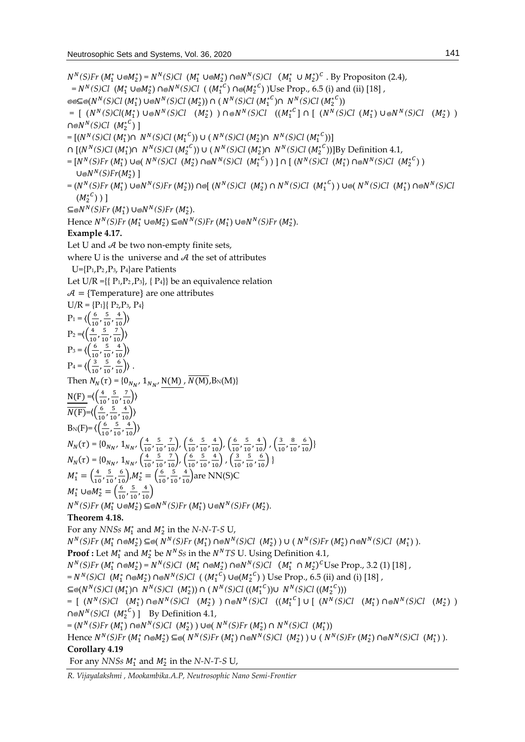$N^{N}(S)$ *Fr* ( $M_{1}^{*}$  ∪⊚ $M_{2}^{*}$ ) =  $N^{N}(S)$ *Cl* ( $M_{1}^{*}$  ∪⊚ $M^{N}(S)$ *Cl* ( $M_{1}^{*}$  ∪  $M_{2}^{*}$ )<sup>*C*</sup>. By Propositon (2.4),  $=N^N(S)Cl$  ( $M_1^*$  ∪⊚ $M_2^*$ ) ∩⊚ $N^N(S)Cl$  ( $(M_1^{*C})$  ∩⊚ $(M_2^{*C})$ )Use Prop., 6.5 (i) and (ii) [18], ⊆⊚(*N*<sup>N</sup>(S)Cl (M<sup>\*</sup><sub>1</sub>) ∪⊚N<sup>N</sup>(S)Cl (M<sup>\*</sup><sub>2</sub>))∩ ( N<sup>N</sup>(S)Cl (M<sup>\*</sup><sup>C</sup>)∩ N<sup>N</sup>(S)Cl (M<sup>\*</sup><sup>C</sup>))  $= [ (N^N(S)Cl(M_1^*) \cup ∘ N^N(S)Cl (M_2^*) ) \cap ∘ N^N(S)Cl ((M_1^*{}^C] \cap [(N^N(S)Cl (M_1^*) \cup ∘ N^N(S)Cl (M_2^*) )$ ∩⊚ $N^N(S)Cl$   $(M_2^{\ast C})$ ]  $= [(N^N(S)Cl (M_1^*) \cap N^N(S)Cl (M_1^*^C)) \cup (N^N(S)Cl (M_2^*) \cap N^N(S)Cl (M_1^*^C))]$ ∩ [( $N^N(S)Cl (M_1^*) \cap N^N(S)Cl (M_2^{*C})$ ) ∪ ( $N^N(S)Cl (M_2^*) \cap N^N(S)Cl (M_2^{*C})$ )]By Definition 4.1,  $=[N^N(S)Fr (M_1^*) \cup \{ (N^N(S)Cl (M_2^*) \cap \{ N^N(S)Cl (M_1^*)\} ) \} \cap [(N^N(S)Cl (M_1^*) \cap \{ N^N(S)Cl (M_2^*) \} )$ U⊚ $N^N(S)Fr(M^*_2)$  ]  $=(N^N(S)Fr \ (M_1^*) \cup \text{W}^N(S)Fr \ (M_2^*)) \cap \text{P} [ (N^N(S)Cl \ (M_2^*) \cap N^N(S)Cl \ (M_1^{*C}) \cup \text{P} (N^N(S)Cl \ (M_1^*) \cap \text{P} N^N(S)Cl \text{P} (M_2^{*C}) ]$  $(M^{*^{\mathcal{C}}}_2)$  ) ]  $\subseteq \otimes N^N(S)$ Fr $(M_1^*) \cup \otimes N^N(S)$ Fr $(M_2^*)$ . *Hence*  $N^N(S)$ *Fr*  $(M_1^* \cup \text{®} M_2^*) \subseteq \text{®} N^N(S)$ *Fr*  $(M_1^*) \cup \text{®} N^N(S)$ *Fr*  $(M_2^*)$ . **Example 4.17.** Let U and  $A$  be two non-empty finite sets, where U is the universe and  $A$  the set of attributes U={P1,P2 ,P3, P4}are Patients Let  $U/R = \{ {P_1, P_2, P_3}, {P_4} \}$  be an equivalence relation  $A = {Temperature}$  are one attributes  $U/R = {P<sub>1</sub>} { P<sub>2</sub>, P<sub>3</sub>, P<sub>4</sub>}$  $P_1 = \langle \left( \frac{6}{10} \right.$  $\frac{6}{10}$ ,  $\frac{5}{10}$  $\frac{5}{10}, \frac{4}{10}$ )  $P_2 = \left\langle \frac{4}{10} \right\rangle$  $\frac{4}{10}$ ,  $\frac{5}{10}$  $\frac{5}{10}, \frac{7}{10}$ )  $P_3 = \langle \left( \frac{6}{10} \right.$  $\frac{6}{10}$ ,  $\frac{5}{10}$  $\frac{5}{10}, \frac{4}{10}$ )  $P_4 = \langle \left( \frac{3}{16} \right.$  $\frac{3}{10}$ ,  $\frac{5}{10}$  $\frac{5}{10}, \frac{6}{10}$ ). Then  $N_N(\tau) = \{0_{N_{N'}}\, 1_{N_{N'}}\, \frac{N(M)}{N(M)}, N(M), B_N(M)\}\,$  $N(F) = \left(\frac{4}{10}\right)$  $\frac{4}{10}$ ,  $\frac{5}{10}$  $\frac{5}{10}, \frac{7}{10}$ )  $\overline{N(F)} = \left(\frac{6}{10}\right)$  $\frac{6}{10}$ ,  $\frac{5}{10}$  $\frac{5}{10}, \frac{4}{10}$ )  $B_N(F)=\langle \left(\frac{6}{10}\right)^{10}\rangle$  $\frac{6}{10}$ ,  $\frac{5}{10}$  $\frac{5}{10}, \frac{4}{10}$ )  $N_N(\tau) = \{0_{N_N}, 1_{N_N}, \left(\frac{4}{10}\right)$  $\frac{4}{10}$ ,  $\frac{5}{10}$  $\frac{5}{10}, \frac{7}{10}$ ,  $\left(\frac{6}{10}\right)$  $\frac{6}{10}$ ,  $\frac{5}{10}$  $\frac{5}{10}, \frac{4}{10}$ ,  $\left(\frac{6}{10}\right)$  $\frac{6}{10}$ ,  $\frac{5}{10}$  $\frac{5}{10}, \frac{4}{10}$ ,  $\left(\frac{3}{10}\right)$  $\frac{3}{10}$ ,  $\frac{8}{10}$  $\frac{8}{10}, \frac{6}{10}\}$  $N_N(\tau) = \{0_{N_N}, 1_{N_N}, \left(\frac{4}{10}\right)$  $\frac{4}{10}$ ,  $\frac{5}{10}$  $\frac{5}{10}, \frac{7}{10}$ ,  $\left(\frac{6}{10}\right)$  $\frac{6}{10}$ ,  $\frac{5}{10}$  $\frac{5}{10}, \frac{4}{10}$ ,  $\left(\frac{3}{10}\right)$  $\frac{3}{10}$ ,  $\frac{5}{10}$  $\frac{5}{10}, \frac{6}{10}$ }  $M_1^* = \left(\frac{4}{10}\right)$  $\frac{4}{10}$ ,  $\frac{5}{10}$  $\left(\frac{5}{10},\frac{6}{10}\right), M_2^* = \left(\frac{6}{10}\right)$  $\frac{6}{10}$ ,  $\frac{5}{10}$  $\frac{5}{10}$ ,  $\frac{4}{10}$  are NN(S)C  $M_{1}^{*}$  ∪⊚ $M_{2}^{*}=\left(\frac{6}{10}\right)$  $\frac{6}{10}$ ,  $\frac{5}{10}$  $\frac{5}{10}, \frac{4}{10}$  $N^N(S)$ Fr  $(M_1^* \cup \mathcal{M}_2^*) \subseteq N^N(S)$ Fr  $(M_1^*) \cup \mathcal{N}^N(S)$ Fr  $(M_2^*)$ . **Theorem 4.18.** For any *NNSs*  $M_1^*$  and  $M_2^*$  in the *N-N-T-S* U,  $N^{N}(S)Fr (M_{1}^{*} \cap \text{®} M_{2}^{*}) \subseteq \text{®}(N^{N}(S)Fr (M_{1}^{*}) \cap \text{®} N^{N}(S)Cl (M_{2}^{*}) ) \cup (N^{N}(S)Fr (M_{2}^{*}) \cap \text{®} N^{N}(S)Cl (M_{1}^{*}) ).$ **Proof :** Let  $M_1^*$  and  $M_2^*$  be  $N^N Ss$  in the  $N^N TS$  U. Using Definition 4.1,  $N^{N}(S)$ *Fr*  $(M_{1}^{*} \cap M_{2}^{*}) = N^{N}(S)$ *Cl*  $(M_{1}^{*} \cap M_{2}^{*}) \cap M^{N}(S)$ *Cl*  $(M_{1}^{*} \cap M_{2}^{*})$ <sup>*C*</sup>Use Prop., 3.2 (1) [18],  $=N^N(S)Cl$  (M<sup>\*</sup><sub>1</sub> ∩@M<sup>\*</sup><sub>2</sub>) ∩@N<sup>N</sup>(S)Cl ((M<sup>\*</sup><sub>1</sub><sup>C</sup>) ∪@(M<sup>\*</sup><sub>2</sub><sup>C</sup>)) Use Prop., 6.5 (ii) and (i) [18] , ⊆⊚(*N*<sup>N</sup>(S)Cl (M<sub>1</sub><sup>\*</sup>)∩ *N*<sup>N</sup>(S)Cl (M<sub>2</sub><sup>\*</sup>))∩ (*N*<sup>N</sup>(S)Cl ((M<sub>1</sub><sup>εC</sup>))∪ *N*<sup>N</sup>(S)Cl ((M<sub>2</sub><sup>ε</sup>C)))  $= [ (N^N(S)Cl \t(M_1^*) \cap ∘ N^N(S)Cl \t(M_2^*) ) \cap ∘ N^N(S)Cl \t((M_1^{*^C}] \cup [ (N^N(S)Cl \t(M_1^*) \cap ∘ N^N(S)Cl \t(M_2^*) )$  $\cap \text{®}N^N(S)Cl$  ( $M_2^{*C}$ ) ] By Definition 4.1,  $=(N^N(S)Fr (M_1^*) \cap N(N^*(S)Cl (M_2^*)) \cup N(N^*(S)Fr (M_2^*) \cap N^N(S)Cl (M_1^*))$  $H$ ence  $N^N(S)Fr (M_1^* \cap \otimes M_2^*) \subseteq \otimes (N^N(S)Fr (M_1^*) \cap \otimes N^N(S)Cl (M_2^*)) \cup (N^N(S)Fr (M_2^*) \cap \otimes N^N(S)Cl (M_1^*)$ ). **Corollary 4.19** For any *NNSs*  $M_1^*$  and  $M_2^*$  in the *N-N-T-S* U,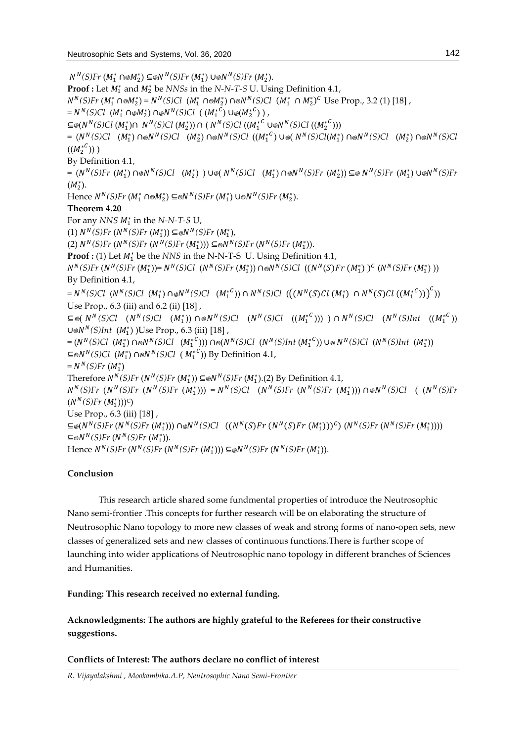$N^{N}(S)$ Fr  $(M_{1}^{*} \cap \otimes M_{2}^{*}) \subseteq \otimes N^{N}(S)$ Fr  $(M_{1}^{*}) \cup \otimes N^{N}(S)$ Fr  $(M_{2}^{*})$ . **Proof :** Let  $M_1^*$  and  $M_2^*$  be *NNSs* in the *N-N-T-S* U. Using Definition 4.1,  $N^{N}(S)$ *Fr*  $(M_{1}^{*} \cap M_{2}^{*}) = N^{N}(S)$ Cl  $(M_{1}^{*} \cap M_{2}^{*}) \cap M^{N}(S)$ Cl  $(M_{1}^{*} \cap M_{2}^{*})^{C}$  Use Prop., 3.2 (1) [18],  $=N^N(S)Cl$   $(M_1^* \cap \otimes M_2^*) \cap \otimes N^N(S)Cl$   $((M_1^{*C}) \cup \otimes (M_2^{*C}) )$ , ⊆⊚(*N*<sup>N</sup>(S)Cl (M<sub>1</sub><sup>\*</sup>)∩ *N*<sup>N</sup>(S)Cl (M<sub>2</sub><sup>\*</sup>))∩ ( N<sup>N</sup>(S)Cl ((M<sub>1</sub><sup>\*C</sup> ∪⊚N<sup>N</sup>(S)Cl ((M<sub>2</sub><sup>\*C</sup>)))  $=(N^N(S)Cl \quad (M_1^*) \cap \text{N}(S)Cl \quad (M_2^*) \cap \text{N}(S)Cl \quad ((M_1^{*C}) \cup \text{N}(N^N(S)Cl(M_1^*) \cap \text{N}(S)Cl \quad (M_2^*) \cap \text{N}(S)Cl)$  $((M_2^{\ast}}^{\mathcal{C}}))$  ) By Definition 4.1,  $=(N^N(S)Fr \ (M_1^*) \cap \text{N}^N(S)Cl \quad (M_2^*)$ ) Unit  $N^N(S)Cl \quad (M_1^*) \cap \text{N}^N(S)Fr \ (M_2^*)) \subseteq \text{N}^N(S)Fr \ (M_1^*) \cup \text{N}^N(S)Fr$  $(M_2^*).$ *Hence*  $N^N(S)Fr$  *(* $M_1^* \cap \text{®} M_2^*$ *) ⊆®* $N^N(S)Fr$  *(* $M_1^*$ *) ∪®* $N^N(S)Fr$  *(* $M_2^*$ *).* **Theorem 4.20** For any *NNS*  $M_1^*$  in the *N-N-T-S* U, (1)  $N^N(S)Fr(N^N(S)Fr(M_1^*))\subseteq \text{⊌}N^N(S)Fr(M_1^*),$ (2)  $N^N(S)Fr(N^N(S)Fr(N^N(S)Fr(M_1^*))) \subseteq ∘N^N(S)Fr(N^N(S)Fr(M_1^*)).$ **Proof :** (1) Let  $M_1^*$  be the *NNS* in the N-N-T-S U. Using Definition 4.1,  $N^N(S)Fr(N^N(S)Fr(M_1^*))=N^N(S)Cl(N^N(S)Fr(M_1^*))\cap ⊗ N^N(S)Cl((N^N(S)Fr(M_1^*))^C(N^N(S)Fr(M_1^*))$ By Definition 4.1,  $=N^N(S)Cl$   $(N^N(S)Cl$   $(M_1^*) \cap \otimes N^N(S)Cl$   $(M_1^{*^C})$ )  $\cap N^N(S)Cl$   $(((N^N(S)Cl (M_1^*) \cap N^N(S)Cl ((M_1^{*^C})) )^C)$ Use Prop., 6.3 (iii) and 6.2 (ii) [18] ,  $\subseteq$  ©( N<sup>N</sup>(S)Cl (N<sup>N</sup>(S)Cl (M<sup>+</sup><sub>1</sub>)) ∩ ⊚N<sup>N</sup>(S)Cl (N<sup>N</sup>(S)Cl ((M<sup>+</sup><sub>1</sub><sup>c</sup>))) ) ∩ N<sup>N</sup>(S)Cl (N<sup>N</sup>(S)Int ((M<sup>+</sup><sub>1</sub><sup>c</sup>)) ∪⊚*N<sup>N</sup>(S)Int* (*M*<sub>1</sub><sup>\*</sup>))Use Prop., 6.3 (iii) [18],  $=(N^N(S)Cl \ (M_1^*) \cap \text{N}^N(S)Cl \ (M_1^{*^C}))$ )  $\cap \text{N}^N(S)Cl \ (N^N(S)Int(M_1^{*^C})) \cup \text{N}^N(S)Cl \ (N^N(S)Int(M_1^*))$  $\subseteq \otimes N^N(S)Cl \ (M_1^*) \cap \otimes N^N(S)Cl \ (M_1^{*^C})$ ) By Definition 4.1,  $=N^N(S)Fr(M_1^*)$ Therefore  $N^N(S)$ Fr  $(N^N(S)$ Fr  $(M_1^*))$  ⊆⊗ $N^N(S)$ Fr  $(M_1^*)$ .(2) By Definition 4.1,  $N^N(S)$ Fr ( $N^N(S)$ Fr ( $N^N(S)$ Fr ( $M_1^*$ ))) =  $N^N(S)$ Cl ( $N^N(S)$ Fr ( $N^N(S)$ Fr ( $M_1^*$ ))) ∩⊚ $N^N(S)$ Cl (( $N^N(S)$ Fr  $(N^N(S)Fr\ (M_1^*)))^C$ Use Prop., 6.3 (iii) [18] ,  $\subseteq \otimes (N^N(S)Fr(N^N(S)Fr(N^*_{1}))) \cap \otimes N^N(S) Cl \quad ((N^N(S)Fr(N^N(S)Fr(N^*_{1})))^C) (N^N(S)Fr(N^N(S)Fr(N^*_{1}))))$  $\subseteq$ ⊗N<sup>N</sup>(S)Fr (N<sup>N</sup>(S)Fr (M<sup>\*</sup><sub>1</sub>)). Hence  $N^N(S)Fr(N^N(S)Fr(N^N(S)Fr(M_1^*))) \subseteq \otimes N^N(S)Fr(N^N(S)Fr(M_1^*)$ ).

# **Conclusion**

This research article shared some fundmental properties of introduce the Neutrosophic Nano semi-frontier .This concepts for further research will be on elaborating the structure of Neutrosophic Nano topology to more new classes of weak and strong forms of nano-open sets, new classes of generalized sets and new classes of continuous functions.There is further scope of launching into wider applications of Neutrosophic nano topology in different branches of Sciences and Humanities.

**Funding: This research received no external funding.**

**Acknowledgments: The authors are highly grateful to the Referees for their constructive suggestions.** 

**Conflicts of Interest: The authors declare no conflict of interest**